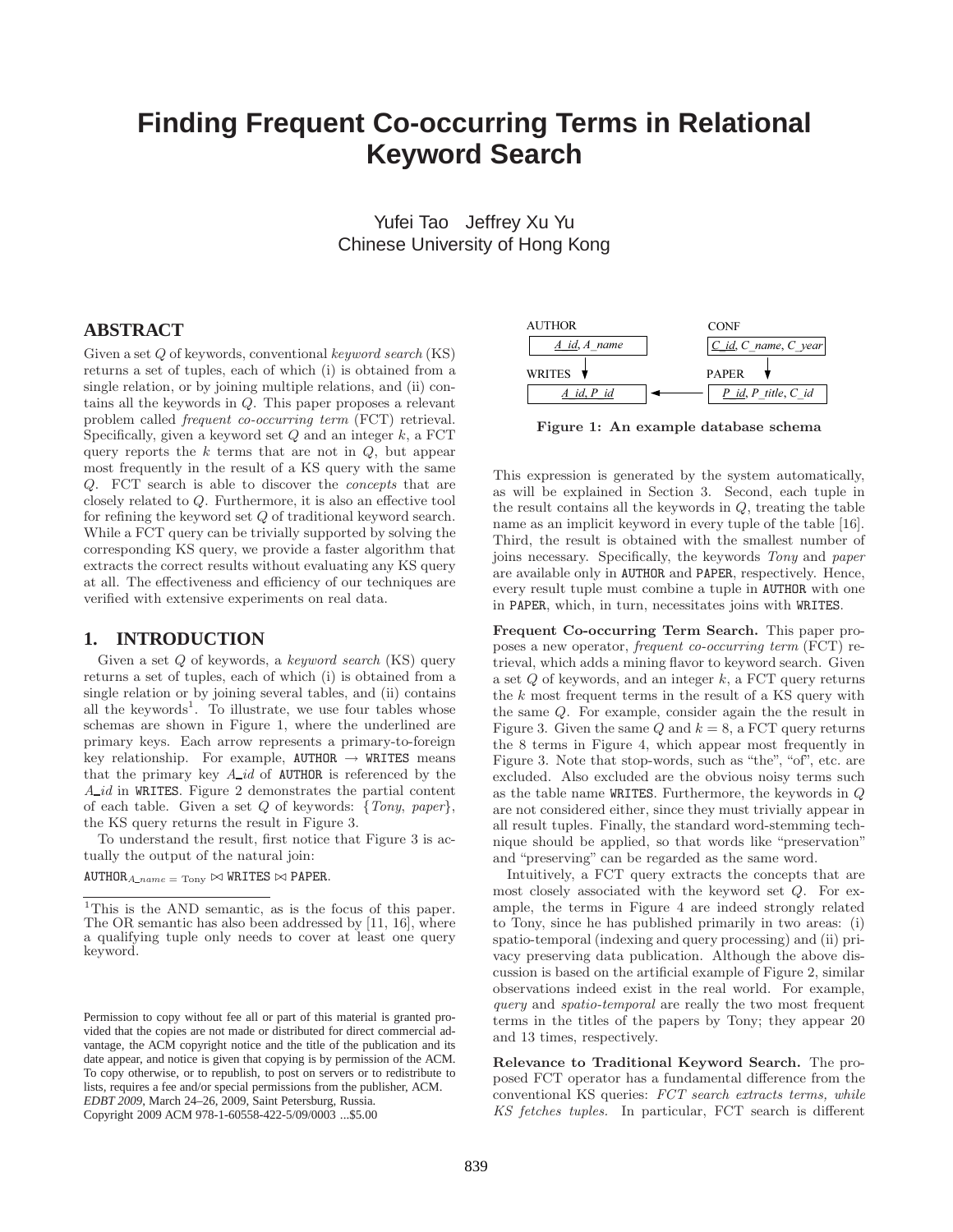# **Finding Frequent Co-occurring Terms in Relational Keyword Search**

Yufei Tao Jeffrey Xu Yu Chinese University of Hong Kong

# **ABSTRACT**

Given a set Q of keywords, conventional keyword search (KS) returns a set of tuples, each of which (i) is obtained from a single relation, or by joining multiple relations, and (ii) contains all the keywords in Q. This paper proposes a relevant problem called frequent co-occurring term (FCT) retrieval. Specifically, given a keyword set  $Q$  and an integer  $k$ , a FCT query reports the  $k$  terms that are not in  $Q$ , but appear most frequently in the result of a KS query with the same Q. FCT search is able to discover the concepts that are closely related to Q. Furthermore, it is also an effective tool for refining the keyword set Q of traditional keyword search. While a FCT query can be trivially supported by solving the corresponding KS query, we provide a faster algorithm that extracts the correct results without evaluating any KS query at all. The effectiveness and efficiency of our techniques are verified with extensive experiments on real data.

## **1. INTRODUCTION**

Given a set Q of keywords, a keyword search (KS) query returns a set of tuples, each of which (i) is obtained from a single relation or by joining several tables, and (ii) contains all the keywords<sup>1</sup>. To illustrate, we use four tables whose schemas are shown in Figure 1, where the underlined are primary keys. Each arrow represents a primary-to-foreign key relationship. For example,  $AUTHOR \rightarrow WRITES$  means that the primary key  $A_{id}$  of AUTHOR is referenced by the  $A_id$  in WRITES. Figure 2 demonstrates the partial content of each table. Given a set  $Q$  of keywords: {Tony, paper}, the KS query returns the result in Figure 3.

To understand the result, first notice that Figure 3 is actually the output of the natural join:

 $\texttt{AUTHOR}_{A\_name} = \texttt{Topy} \bowtie \texttt{WRITIES} \bowtie \texttt{PAPER}.$ 



Figure 1: An example database schema

This expression is generated by the system automatically, as will be explained in Section 3. Second, each tuple in the result contains all the keywords in Q, treating the table name as an implicit keyword in every tuple of the table [16]. Third, the result is obtained with the smallest number of joins necessary. Specifically, the keywords Tony and paper are available only in AUTHOR and PAPER, respectively. Hence, every result tuple must combine a tuple in AUTHOR with one in PAPER, which, in turn, necessitates joins with WRITES.

Frequent Co-occurring Term Search. This paper proposes a new operator, frequent co-occurring term (FCT) retrieval, which adds a mining flavor to keyword search. Given a set  $Q$  of keywords, and an integer  $k$ , a FCT query returns the k most frequent terms in the result of a KS query with the same Q. For example, consider again the the result in Figure 3. Given the same  $Q$  and  $k = 8$ , a FCT query returns the 8 terms in Figure 4, which appear most frequently in Figure 3. Note that stop-words, such as "the", "of", etc. are excluded. Also excluded are the obvious noisy terms such as the table name WRITES. Furthermore, the keywords in Q are not considered either, since they must trivially appear in all result tuples. Finally, the standard word-stemming technique should be applied, so that words like "preservation" and "preserving" can be regarded as the same word.

Intuitively, a FCT query extracts the concepts that are most closely associated with the keyword set Q. For example, the terms in Figure 4 are indeed strongly related to Tony, since he has published primarily in two areas: (i) spatio-temporal (indexing and query processing) and (ii) privacy preserving data publication. Although the above discussion is based on the artificial example of Figure 2, similar observations indeed exist in the real world. For example, query and spatio-temporal are really the two most frequent terms in the titles of the papers by Tony; they appear 20 and 13 times, respectively.

Relevance to Traditional Keyword Search. The proposed FCT operator has a fundamental difference from the conventional KS queries: FCT search extracts terms, while KS fetches tuples. In particular, FCT search is different

<sup>&</sup>lt;sup>1</sup>This is the AND semantic, as is the focus of this paper. The OR semantic has also been addressed by [11, 16], where a qualifying tuple only needs to cover at least one query keyword.

Permission to copy without fee all or part of this material is granted provided that the copies are not made or distributed for direct commercial advantage, the ACM copyright notice and the title of the publication and its date appear, and notice is given that copying is by permission of the ACM. To copy otherwise, or to republish, to post on servers or to redistribute to lists, requires a fee and/or special permissions from the publisher, ACM. *EDBT 2009*, March 24–26, 2009, Saint Petersburg, Russia. Copyright 2009 ACM 978-1-60558-422-5/09/0003 ...\$5.00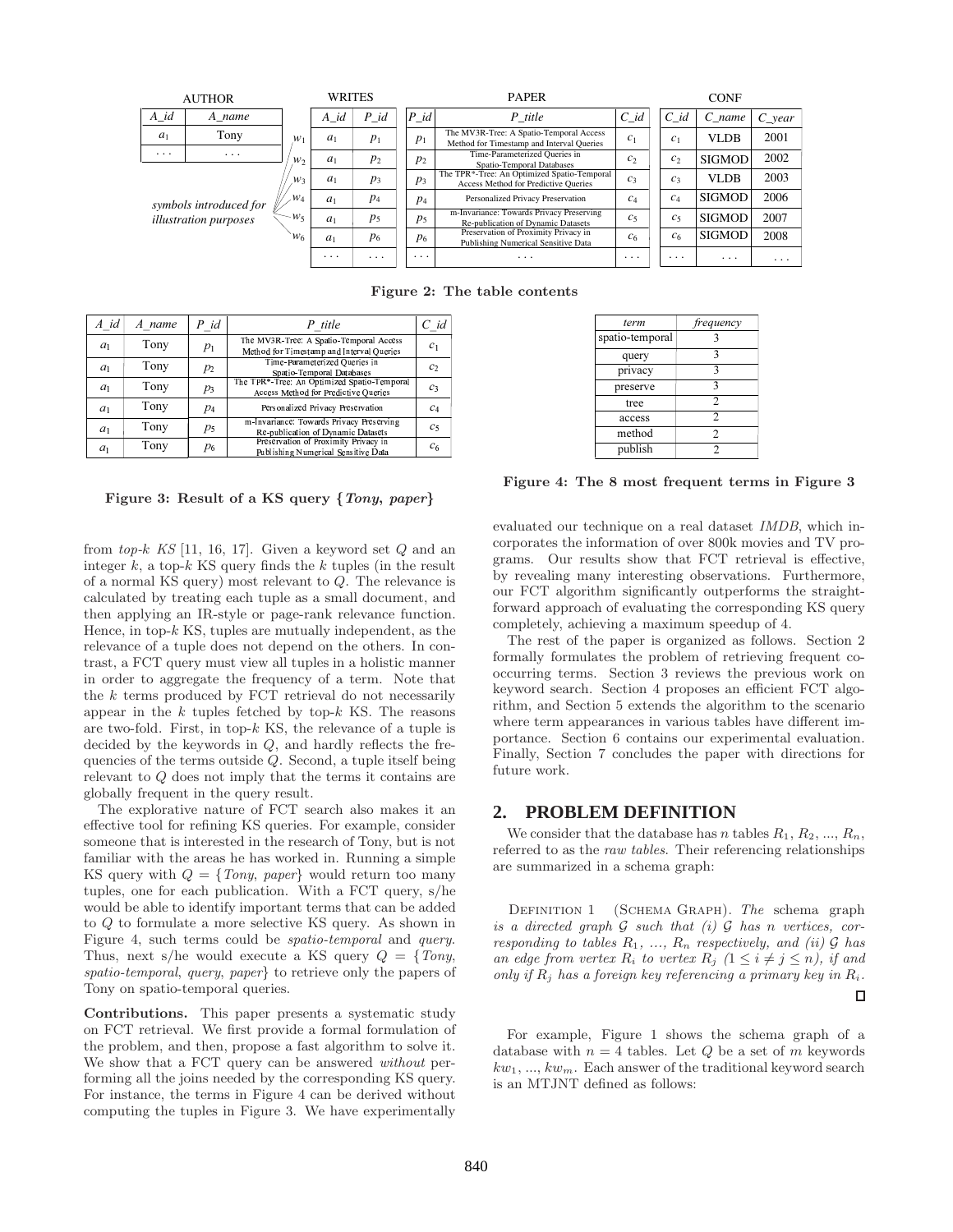| <b>AUTHOR</b>                                                           |        |                                             | WRITES         |                         | <b>PAPER</b> |                   |                                                                                      | <b>CONF</b>                                                                 |                |                |                        |
|-------------------------------------------------------------------------|--------|---------------------------------------------|----------------|-------------------------|--------------|-------------------|--------------------------------------------------------------------------------------|-----------------------------------------------------------------------------|----------------|----------------|------------------------|
| $A_id$                                                                  | A name |                                             | $A_id$         | $P_id$                  |              | $P_id$<br>P title |                                                                                      | $C_id$                                                                      | $C$ id         | $C$ name       | $C_{\mathcal{C}}$ year |
| a <sub>1</sub>                                                          | Tony   | $a_1$<br>$W_1$                              |                | $p_1$                   | $p_1$        |                   | The MV3R-Tree: A Spatio-Temporal Access<br>Method for Timestamp and Interval Queries | $C_1$                                                                       | c <sub>1</sub> | <b>VLDB</b>    | 2001                   |
| $\cdots$<br>$\cdots$<br>symbols introduced for<br>illustration purposes |        | $W_2$<br>$W_3$<br>$\mathcal{W}_4$<br>$-W_5$ | a <sub>1</sub> | p <sub>2</sub>          |              | $p_2$             | Time-Parameterized Queries in<br>Spatio-Temporal Databases                           | c <sub>2</sub>                                                              | c <sub>2</sub> | <b>SIGMOD</b>  | 2002                   |
|                                                                         |        |                                             | $a_1$<br>$p_3$ |                         | $p_3$        |                   | The TPR*-Tree: An Optimized Spatio-Temporal<br>Access Method for Predictive Oueries  | $C_3$                                                                       | $C_3$          | <b>VLDB</b>    | 2003                   |
|                                                                         |        |                                             | $a_1$          | $p_4$                   |              | $p_4$             | Personalized Privacy Preservation                                                    | $c_4$                                                                       | $C_4$          | <b>SIGMOD</b>  | 2006                   |
|                                                                         |        |                                             | $a_1$          | p <sub>5</sub>          |              | p <sub>5</sub>    | m-Invariance: Towards Privacy Preserving<br>Re-publication of Dynamic Datasets       | $C_5$                                                                       | c <sub>5</sub> | <b>SIGMOD</b>  | 2007                   |
|                                                                         |        | $W_6$                                       |                | $p_6$<br>a <sub>1</sub> |              |                   | $p_6$                                                                                | Preservation of Proximity Privacy in<br>Publishing Numerical Sensitive Data | c <sub>6</sub> | c <sub>6</sub> | <b>SIGMOD</b>          |
|                                                                         |        |                                             | $\cdots$       | $\cdots$                | $\cdots$     |                   | .                                                                                    | $\cdots$                                                                    | $\cdots$       | .              | .                      |

Figure 2: The table contents

| A id           | A name | $P$ id         | P title                                                                              | $C$ id         |
|----------------|--------|----------------|--------------------------------------------------------------------------------------|----------------|
| a <sub>1</sub> | Tony   | $p_1$          | The MV3R-Tree: A Spatio-Temporal Access<br>Method for Timestamp and Interval Queries | c <sub>1</sub> |
| a <sub>1</sub> | Tony   | $p_2$          | Time-Parameterized Oueries in<br>Spatio-Temporal Databases                           | c <sub>2</sub> |
| a <sub>1</sub> | Tony   | $p_3$          | The TPR*-Tree: An Optimized Spatio-Temporal<br>Access Method for Predictive Queries  | $c_3$          |
| a <sub>1</sub> | Tony   | $p_4$          | Personalized Privacy Preservation                                                    | c <sub>4</sub> |
| a <sub>1</sub> | Tony   | p <sub>5</sub> | m-Invariance: Towards Privacy Preserving<br>Re-publication of Dynamic Datasets       | c <sub>5</sub> |
| a <sub>1</sub> | Tony   | $p_6$          | Preservation of Proximity Privacy in<br>Publishing Numerical Sensitive Data          | c <sub>6</sub> |

Figure 3: Result of a KS query {Tony, paper}

from top-k KS [11, 16, 17]. Given a keyword set  $Q$  and an integer  $k$ , a top- $k$  KS query finds the  $k$  tuples (in the result of a normal KS query) most relevant to Q. The relevance is calculated by treating each tuple as a small document, and then applying an IR-style or page-rank relevance function. Hence, in top- $k$  KS, tuples are mutually independent, as the relevance of a tuple does not depend on the others. In contrast, a FCT query must view all tuples in a holistic manner in order to aggregate the frequency of a term. Note that the  $k$  terms produced by FCT retrieval do not necessarily appear in the  $k$  tuples fetched by top- $k$  KS. The reasons are two-fold. First, in top- $k$  KS, the relevance of a tuple is decided by the keywords in  $Q$ , and hardly reflects the frequencies of the terms outside Q. Second, a tuple itself being relevant to Q does not imply that the terms it contains are globally frequent in the query result.

The explorative nature of FCT search also makes it an effective tool for refining KS queries. For example, consider someone that is interested in the research of Tony, but is not familiar with the areas he has worked in. Running a simple KS query with  $Q = \{Tony, paper\}$  would return too many tuples, one for each publication. With a FCT query, s/he would be able to identify important terms that can be added to Q to formulate a more selective KS query. As shown in Figure 4, such terms could be spatio-temporal and query. Thus, next s/he would execute a KS query  $Q = \{Tony,$ spatio-temporal, query, paper} to retrieve only the papers of Tony on spatio-temporal queries.

Contributions. This paper presents a systematic study on FCT retrieval. We first provide a formal formulation of the problem, and then, propose a fast algorithm to solve it. We show that a FCT query can be answered without performing all the joins needed by the corresponding KS query. For instance, the terms in Figure 4 can be derived without computing the tuples in Figure 3. We have experimentally

| term            | frequency      |
|-----------------|----------------|
| spatio-temporal |                |
| query           | 3              |
| privacy         | 3              |
| preserve        | 3              |
| tree            | 2              |
| access          | 2              |
| method          | $\overline{2}$ |
| publish         |                |

Figure 4: The 8 most frequent terms in Figure 3

evaluated our technique on a real dataset IMDB, which incorporates the information of over 800k movies and TV programs. Our results show that FCT retrieval is effective, by revealing many interesting observations. Furthermore, our FCT algorithm significantly outperforms the straightforward approach of evaluating the corresponding KS query completely, achieving a maximum speedup of 4.

The rest of the paper is organized as follows. Section 2 formally formulates the problem of retrieving frequent cooccurring terms. Section 3 reviews the previous work on keyword search. Section 4 proposes an efficient FCT algorithm, and Section 5 extends the algorithm to the scenario where term appearances in various tables have different importance. Section 6 contains our experimental evaluation. Finally, Section 7 concludes the paper with directions for future work.

## **2. PROBLEM DEFINITION**

We consider that the database has n tables  $R_1, R_2, ..., R_n$ , referred to as the *raw tables*. Their referencing relationships are summarized in a schema graph:

DEFINITION 1 (SCHEMA GRAPH). The schema graph is a directed graph  $G$  such that (i)  $G$  has n vertices, corresponding to tables  $R_1, \ldots, R_n$  respectively, and (ii)  $\mathcal G$  has an edge from vertex  $R_i$  to vertex  $R_j$   $(1 \leq i \neq j \leq n)$ , if and only if  $R_j$  has a foreign key referencing a primary key in  $R_i$ . П

For example, Figure 1 shows the schema graph of a database with  $n = 4$  tables. Let Q be a set of m keywords  $kw_1, ..., kw_m$ . Each answer of the traditional keyword search is an MTJNT defined as follows: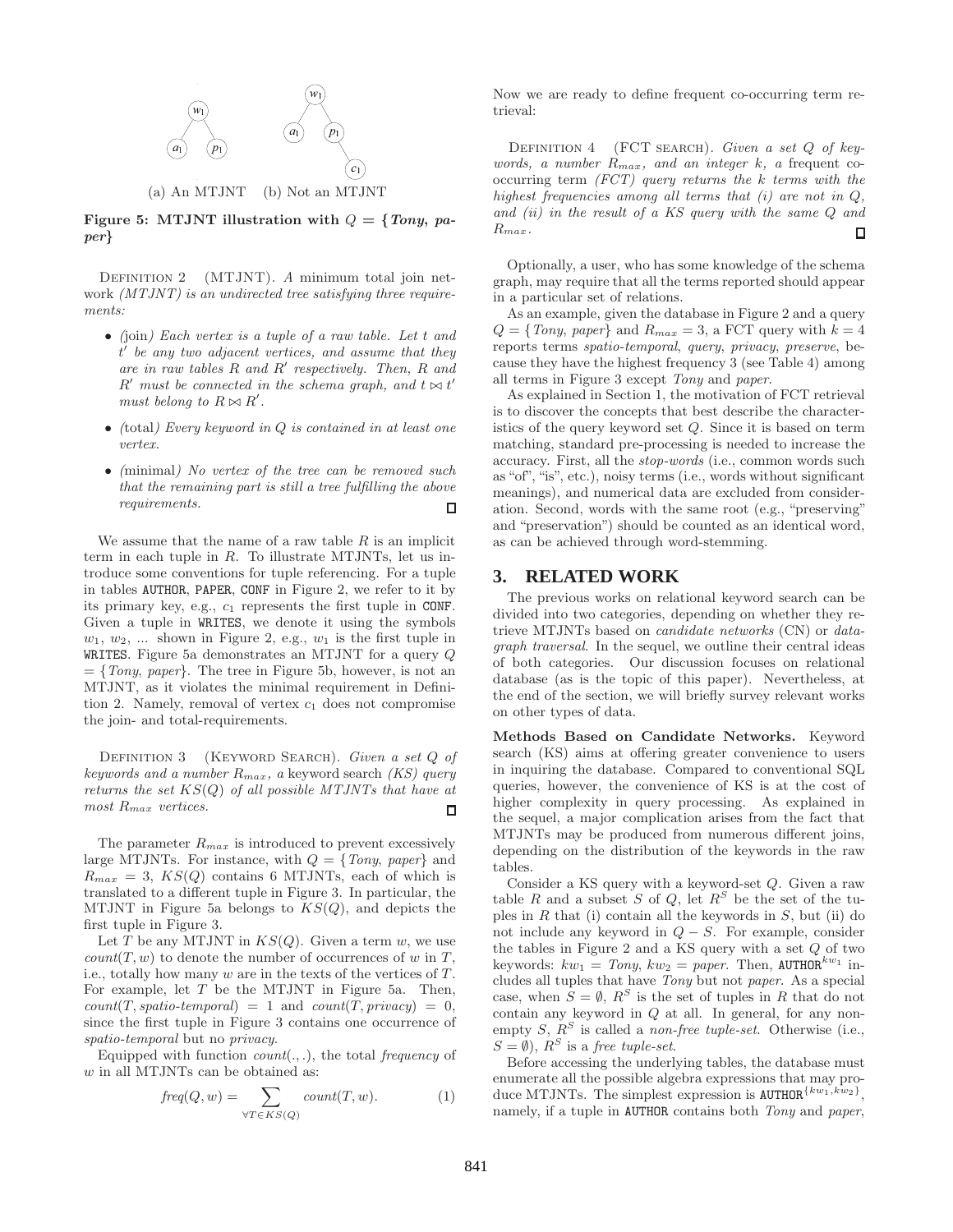

Figure 5: MTJNT illustration with  $Q = \{Tony, pa$ per}

DEFINITION 2 (MTJNT). A minimum total join network *(MTJNT)* is an undirected tree satisfying three requirements:

- (join) Each vertex is a tuple of a raw table. Let t and  $\overline{t}'$  be any two adjacent vertices, and assume that they are in raw tables  $R$  and  $R'$  respectively. Then,  $R$  and  $R'$  must be connected in the schema graph, and  $t \bowtie t'$ must belong to  $R \bowtie R'$ .
- $\bullet$  (total) Every keyword in  $Q$  is contained in at least one vertex.
- (minimal) No vertex of the tree can be removed such that the remaining part is still a tree fulfilling the above requirements. 口

We assume that the name of a raw table  $R$  is an implicit term in each tuple in R. To illustrate MTJNTs, let us introduce some conventions for tuple referencing. For a tuple in tables AUTHOR, PAPER, CONF in Figure 2, we refer to it by its primary key, e.g.,  $c_1$  represents the first tuple in CONF. Given a tuple in WRITES, we denote it using the symbols  $w_1, w_2, \ldots$  shown in Figure 2, e.g.,  $w_1$  is the first tuple in WRITES. Figure 5a demonstrates an MTJNT for a query Q  $=\{Tony, paper\}.$  The tree in Figure 5b, however, is not an MTJNT, as it violates the minimal requirement in Definition 2. Namely, removal of vertex  $c_1$  does not compromise the join- and total-requirements.

DEFINITION 3 (KEYWORD SEARCH). Given a set Q of keywords and a number  $R_{max}$ , a keyword search (KS) query returns the set  $KS(Q)$  of all possible MTJNTs that have at most R<sub>max</sub> vertices. П

The parameter  $R_{max}$  is introduced to prevent excessively large MTJNTs. For instance, with  $Q = \{Tony, paper\}$  and  $R_{max} = 3$ ,  $KS(Q)$  contains 6 MTJNTs, each of which is translated to a different tuple in Figure 3. In particular, the MTJNT in Figure 5a belongs to  $KS(Q)$ , and depicts the first tuple in Figure 3.

Let T be any MTJNT in  $KS(Q)$ . Given a term w, we use  $count(T, w)$  to denote the number of occurrences of w in T, i.e., totally how many  $w$  are in the texts of the vertices of  $T$ . For example, let  $T$  be the MTJNT in Figure 5a. Then,  $count(T, spatio-temporal) = 1$  and  $count(T, privacy) = 0$ , since the first tuple in Figure 3 contains one occurrence of spatio-temporal but no privacy.

Equipped with function  $count(., .)$ , the total frequency of  $w$  in all MTJNTs can be obtained as:

$$
freq(Q, w) = \sum_{\forall T \in KS(Q)} count(T, w).
$$
 (1)

Now we are ready to define frequent co-occurring term retrieval:

DEFINITION  $4$  (FCT SEARCH). Given a set  $Q$  of keywords, a number  $R_{max}$ , and an integer k, a frequent cooccurring term  $(FCT)$  query returns the k terms with the highest frequencies among all terms that  $(i)$  are not in  $Q$ , and (ii) in the result of a KS query with the same Q and  $R_{max}$ .  $\Box$ 

Optionally, a user, who has some knowledge of the schema graph, may require that all the terms reported should appear in a particular set of relations.

As an example, given the database in Figure 2 and a query  $Q = \{Tony, paper\}$  and  $R_{max} = 3$ , a FCT query with  $k = 4$ reports terms spatio-temporal, query, privacy, preserve, because they have the highest frequency 3 (see Table 4) among all terms in Figure 3 except Tony and paper.

As explained in Section 1, the motivation of FCT retrieval is to discover the concepts that best describe the characteristics of the query keyword set Q. Since it is based on term matching, standard pre-processing is needed to increase the accuracy. First, all the stop-words (i.e., common words such as "of", "is", etc.), noisy terms (i.e., words without significant meanings), and numerical data are excluded from consideration. Second, words with the same root (e.g., "preserving" and "preservation") should be counted as an identical word, as can be achieved through word-stemming.

# **3. RELATED WORK**

The previous works on relational keyword search can be divided into two categories, depending on whether they retrieve MTJNTs based on candidate networks (CN) or datagraph traversal. In the sequel, we outline their central ideas of both categories. Our discussion focuses on relational database (as is the topic of this paper). Nevertheless, at the end of the section, we will briefly survey relevant works on other types of data.

Methods Based on Candidate Networks. Keyword search (KS) aims at offering greater convenience to users in inquiring the database. Compared to conventional SQL queries, however, the convenience of KS is at the cost of higher complexity in query processing. As explained in the sequel, a major complication arises from the fact that MTJNTs may be produced from numerous different joins, depending on the distribution of the keywords in the raw tables.

Consider a KS query with a keyword-set Q. Given a raw table R and a subset S of Q, let  $R^S$  be the set of the tuples in  $R$  that (i) contain all the keywords in  $S$ , but (ii) do not include any keyword in  $Q - S$ . For example, consider the tables in Figure 2 and a KS query with a set Q of two keywords:  $kw_1 = Tony, kw_2 = paper.$  Then, AUTHOR<sup> $kw_1$ </sup> includes all tuples that have Tony but not paper. As a special case, when  $S = \emptyset$ ,  $R^S$  is the set of tuples in R that do not contain any keyword in Q at all. In general, for any nonempty  $S, R^S$  is called a *non-free tuple-set*. Otherwise (i.e.,  $S = \emptyset$ ,  $R^S$  is a free tuple-set.

Before accessing the underlying tables, the database must enumerate all the possible algebra expressions that may produce MTJNTs. The simplest expression is  $\text{AUTHOR}^{\{kw_1, kw_2\}}$ , namely, if a tuple in AUTHOR contains both Tony and paper,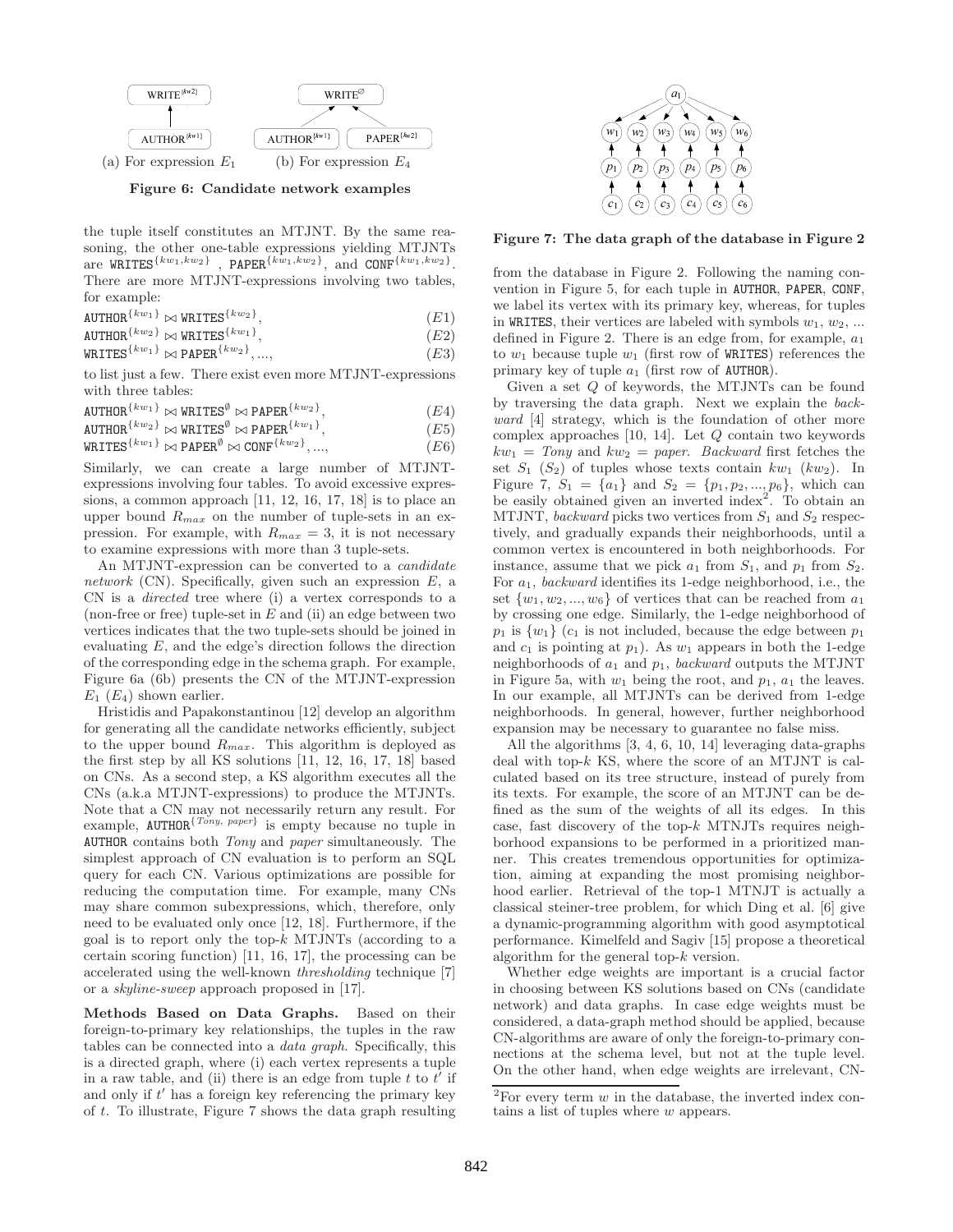

Figure 6: Candidate network examples

the tuple itself constitutes an MTJNT. By the same reasoning, the other one-table expressions yielding MTJNTs are  $\widehat{\text{WRITES}}^{\{kw_1, kw_2\}}$ , PAPER $^{\{\hat{kw}_1, kw_2\}}$ , and  $\text{CONF}^{\{kw_1, kw_2\}}$ . There are more MTJNT-expressions involving two tables, for example:

 $\texttt{AUTHOR}^{\{kw_1\}} \bowtie \texttt{WRITES}^{\{kw_2\}}$  $(E1)$ 

 $\texttt{AUTHOR}^{\{kw_2\}} \bowtie \texttt{WRITES}^{\{kw_1\}}$  $(E2)$ 

 $\texttt{WRITES}^{\{kw_1\}} \bowtie \texttt{PAPER}^{\{kw_2\}}$  $(E3)$ 

to list just a few. There exist even more MTJNT-expressions with three tables:

 $\texttt{AUTHOR}^{\{kw_1\}} \bowtie \texttt{WRITES}^\emptyset \bowtie \texttt{PAPER}^{\{kw_2\}}$  $(E4)$ 

 $\mathtt{AUTHOR}^{\{kw_2\}} \Join \mathtt{WRITES}^\emptyset \Join \mathtt{PAPER}^{\{kw_1\}}$  $(E5)$ 

 $\texttt{WRTIES}^{\{kw_1\}} \Join \texttt{PAPER}^\emptyset \Join \texttt{CONF}^{\{kw_2\}}$  $(E6)$ 

Similarly, we can create a large number of MTJNTexpressions involving four tables. To avoid excessive expressions, a common approach [11, 12, 16, 17, 18] is to place an upper bound  $R_{max}$  on the number of tuple-sets in an expression. For example, with  $R_{max} = 3$ , it is not necessary to examine expressions with more than 3 tuple-sets.

An MTJNT-expression can be converted to a *candidate* network (CN). Specifically, given such an expression  $E$ , a CN is a directed tree where (i) a vertex corresponds to a (non-free or free) tuple-set in  $E$  and (ii) an edge between two vertices indicates that the two tuple-sets should be joined in evaluating  $E$ , and the edge's direction follows the direction of the corresponding edge in the schema graph. For example, Figure 6a (6b) presents the CN of the MTJNT-expression  $E_1$  ( $E_4$ ) shown earlier.

Hristidis and Papakonstantinou [12] develop an algorithm for generating all the candidate networks efficiently, subject to the upper bound  $R_{max}$ . This algorithm is deployed as the first step by all KS solutions [11, 12, 16, 17, 18] based on CNs. As a second step, a KS algorithm executes all the CNs (a.k.a MTJNT-expressions) to produce the MTJNTs. Note that a CN may not necessarily return any result. For example,  $\text{AUTHOR}^{\{Tony, \text{ paper}\}}$  is empty because no tuple in AUTHOR contains both Tony and paper simultaneously. The simplest approach of CN evaluation is to perform an SQL query for each CN. Various optimizations are possible for reducing the computation time. For example, many CNs may share common subexpressions, which, therefore, only need to be evaluated only once [12, 18]. Furthermore, if the goal is to report only the top- $k$  MTJNTs (according to a certain scoring function) [11, 16, 17], the processing can be accelerated using the well-known thresholding technique [7] or a skyline-sweep approach proposed in [17].

Methods Based on Data Graphs. Based on their foreign-to-primary key relationships, the tuples in the raw tables can be connected into a data graph. Specifically, this is a directed graph, where (i) each vertex represents a tuple in a raw table, and (ii) there is an edge from tuple t to  $t^{\prime}$  if and only if  $t'$  has a foreign key referencing the primary key of t. To illustrate, Figure 7 shows the data graph resulting



Figure 7: The data graph of the database in Figure 2

from the database in Figure 2. Following the naming convention in Figure 5, for each tuple in AUTHOR, PAPER, CONF, we label its vertex with its primary key, whereas, for tuples in WRITES, their vertices are labeled with symbols  $w_1, w_2, ...$ defined in Figure 2. There is an edge from, for example,  $a_1$ to  $w_1$  because tuple  $w_1$  (first row of WRITES) references the primary key of tuple  $a_1$  (first row of AUTHOR).

Given a set Q of keywords, the MTJNTs can be found by traversing the data graph. Next we explain the backward [4] strategy, which is the foundation of other more complex approaches [10, 14]. Let Q contain two keywords  $kw_1 = Tony$  and  $kw_2 = paper$ . Backward first fetches the set  $S_1$   $(S_2)$  of tuples whose texts contain  $kw_1$   $(kw_2)$ . In Figure 7,  $S_1 = \{a_1\}$  and  $S_2 = \{p_1, p_2, ..., p_6\}$ , which can be easily obtained given an inverted index<sup>2</sup>. To obtain an MTJNT, backward picks two vertices from  $S_1$  and  $S_2$  respectively, and gradually expands their neighborhoods, until a common vertex is encountered in both neighborhoods. For instance, assume that we pick  $a_1$  from  $S_1$ , and  $p_1$  from  $S_2$ . For a1, backward identifies its 1-edge neighborhood, i.e., the set  $\{w_1, w_2, ..., w_6\}$  of vertices that can be reached from  $a_1$ by crossing one edge. Similarly, the 1-edge neighborhood of  $p_1$  is  $\{w_1\}$  ( $c_1$  is not included, because the edge between  $p_1$ and  $c_1$  is pointing at  $p_1$ ). As  $w_1$  appears in both the 1-edge neighborhoods of  $a_1$  and  $p_1$ , backward outputs the MTJNT in Figure 5a, with  $w_1$  being the root, and  $p_1$ ,  $a_1$  the leaves. In our example, all MTJNTs can be derived from 1-edge neighborhoods. In general, however, further neighborhood expansion may be necessary to guarantee no false miss.

All the algorithms [3, 4, 6, 10, 14] leveraging data-graphs deal with top-k KS, where the score of an MTJNT is calculated based on its tree structure, instead of purely from its texts. For example, the score of an MTJNT can be defined as the sum of the weights of all its edges. In this case, fast discovery of the top- $k$  MTNJTs requires neighborhood expansions to be performed in a prioritized manner. This creates tremendous opportunities for optimization, aiming at expanding the most promising neighborhood earlier. Retrieval of the top-1 MTNJT is actually a classical steiner-tree problem, for which Ding et al. [6] give a dynamic-programming algorithm with good asymptotical performance. Kimelfeld and Sagiv [15] propose a theoretical algorithm for the general top-k version.

Whether edge weights are important is a crucial factor in choosing between KS solutions based on CNs (candidate network) and data graphs. In case edge weights must be considered, a data-graph method should be applied, because CN-algorithms are aware of only the foreign-to-primary connections at the schema level, but not at the tuple level. On the other hand, when edge weights are irrelevant, CN-

<sup>&</sup>lt;sup>2</sup>For every term  $w$  in the database, the inverted index contains a list of tuples where w appears.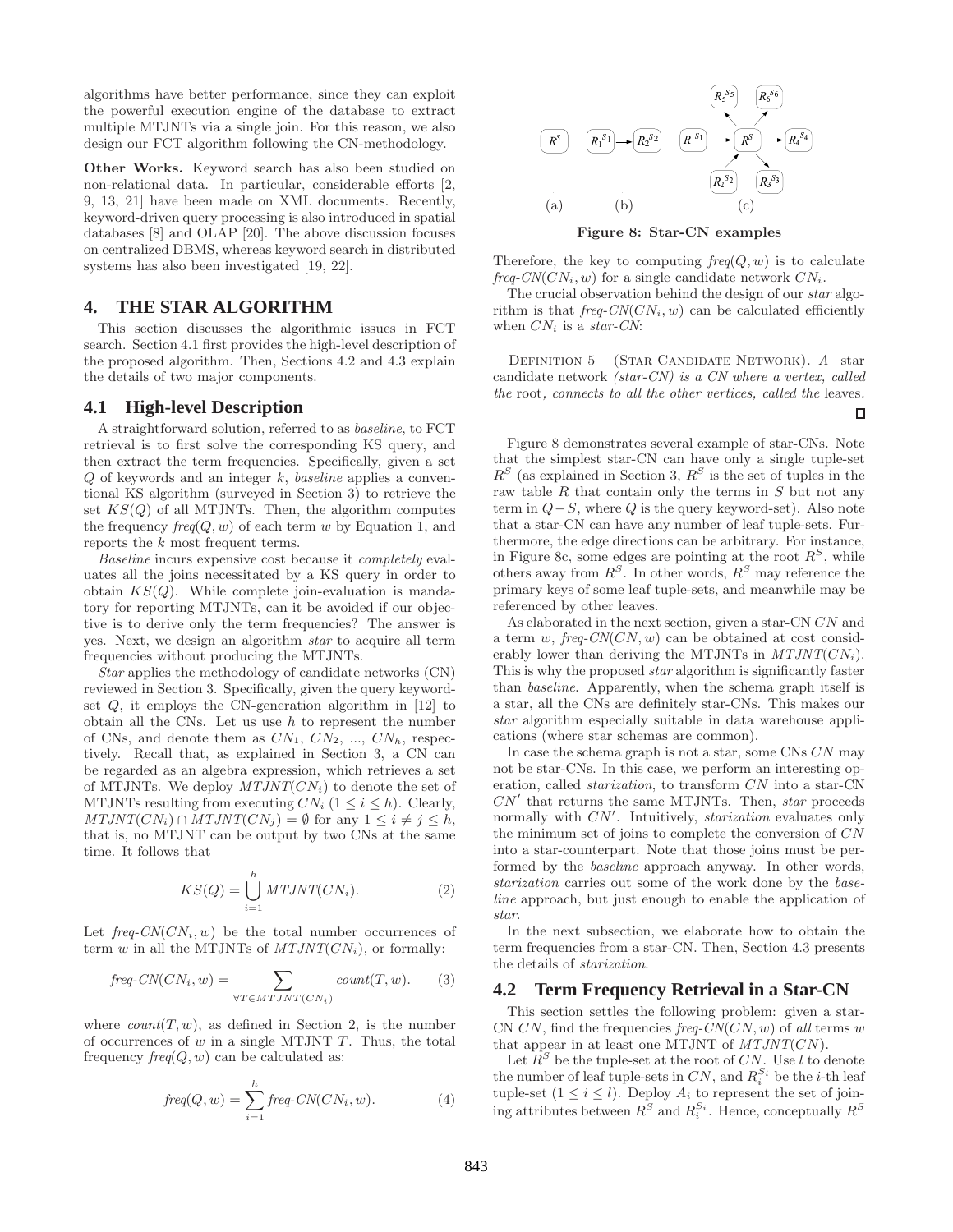algorithms have better performance, since they can exploit the powerful execution engine of the database to extract multiple MTJNTs via a single join. For this reason, we also design our FCT algorithm following the CN-methodology.

Other Works. Keyword search has also been studied on non-relational data. In particular, considerable efforts [2, 9, 13, 21] have been made on XML documents. Recently, keyword-driven query processing is also introduced in spatial databases [8] and OLAP [20]. The above discussion focuses on centralized DBMS, whereas keyword search in distributed systems has also been investigated [19, 22].

# **4. THE STAR ALGORITHM**

This section discusses the algorithmic issues in FCT search. Section 4.1 first provides the high-level description of the proposed algorithm. Then, Sections 4.2 and 4.3 explain the details of two major components.

### **4.1 High-level Description**

A straightforward solution, referred to as baseline, to FCT retrieval is to first solve the corresponding KS query, and then extract the term frequencies. Specifically, given a set  $Q$  of keywords and an integer  $k$ , baseline applies a conventional KS algorithm (surveyed in Section 3) to retrieve the set  $KS(Q)$  of all MTJNTs. Then, the algorithm computes the frequency  $freq(Q, w)$  of each term w by Equation 1, and reports the k most frequent terms.

Baseline incurs expensive cost because it completely evaluates all the joins necessitated by a KS query in order to obtain  $KS(Q)$ . While complete join-evaluation is mandatory for reporting MTJNTs, can it be avoided if our objective is to derive only the term frequencies? The answer is yes. Next, we design an algorithm star to acquire all term frequencies without producing the MTJNTs.

Star applies the methodology of candidate networks (CN) reviewed in Section 3. Specifically, given the query keywordset  $Q$ , it employs the CN-generation algorithm in [12] to obtain all the CNs. Let us use  $h$  to represent the number of CNs, and denote them as  $CN_1$ ,  $CN_2$ , ...,  $CN_h$ , respectively. Recall that, as explained in Section 3, a CN can be regarded as an algebra expression, which retrieves a set of MTJNTs. We deploy  $MTJNT(CN_i)$  to denote the set of MTJNTs resulting from executing  $CN_i$   $(1 \leq i \leq h)$ . Clearly,  $MTJNT(CN_i) \cap MTJNT(CN_j) = \emptyset$  for any  $1 \leq i \neq j \leq h$ , that is, no MTJNT can be output by two CNs at the same time. It follows that

$$
KS(Q) = \bigcup_{i=1}^{h} MTJNT(CN_i). \tag{2}
$$

Let  $freq\text{-}CN(CN_i, w)$  be the total number occurrences of term w in all the MTJNTs of  $MTJNT(CN_i)$ , or formally:

$$
freq\text{-}CN(CN_i, w) = \sum_{\forall T \in MTJNT(CN_i)} count(T, w). \tag{3}
$$

where  $count(T, w)$ , as defined in Section 2, is the number of occurrences of  $w$  in a single MTJNT  $T$ . Thus, the total frequency  $freq(Q, w)$  can be calculated as:

$$
freq(Q, w) = \sum_{i=1}^{h} freq \cdot CN(CN_i, w).
$$
 (4)



Figure 8: Star-CN examples

Therefore, the key to computing  $freq(Q, w)$  is to calculate  $freq\text{-}CN(CN_i, w)$  for a single candidate network  $CN_i$ .

The crucial observation behind the design of our star algorithm is that  $freq$ -CN(CN<sub>i</sub>, w) can be calculated efficiently when  $CN_i$  is a star-CN:

DEFINITION 5 (STAR CANDIDATE NETWORK). A star candidate network (star-CN) is a CN where a vertex, called the root, connects to all the other vertices, called the leaves.

п

Figure 8 demonstrates several example of star-CNs. Note that the simplest star-CN can have only a single tuple-set  $R<sup>S</sup>$  (as explained in Section 3,  $R<sup>S</sup>$  is the set of tuples in the raw table  $R$  that contain only the terms in  $S$  but not any term in  $Q-S$ , where Q is the query keyword-set). Also note that a star-CN can have any number of leaf tuple-sets. Furthermore, the edge directions can be arbitrary. For instance, in Figure 8c, some edges are pointing at the root  $R^S$ , while others away from  $R^S$ . In other words,  $R^S$  may reference the primary keys of some leaf tuple-sets, and meanwhile may be referenced by other leaves.

As elaborated in the next section, given a star-CN CN and a term w,  $freq$ -CN(CN, w) can be obtained at cost considerably lower than deriving the MTJNTs in  $MTJNT(CN_i)$ . This is why the proposed star algorithm is significantly faster than baseline. Apparently, when the schema graph itself is a star, all the CNs are definitely star-CNs. This makes our star algorithm especially suitable in data warehouse applications (where star schemas are common).

In case the schema graph is not a star, some CNs CN may not be star-CNs. In this case, we perform an interesting operation, called starization, to transform CN into a star-CN  $CN'$  that returns the same MTJNTs. Then, star proceeds normally with  $CN'$ . Intuitively, *starization* evaluates only the minimum set of joins to complete the conversion of CN into a star-counterpart. Note that those joins must be performed by the baseline approach anyway. In other words, starization carries out some of the work done by the baseline approach, but just enough to enable the application of star.

In the next subsection, we elaborate how to obtain the term frequencies from a star-CN. Then, Section 4.3 presents the details of starization.

# **4.2 Term Frequency Retrieval in a Star-CN**

This section settles the following problem: given a star-CN CN, find the frequencies  $freq$ -CN(CN, w) of all terms w that appear in at least one MTJNT of  $MTJNT(CN)$ .

Let  $R^S$  be the tuple-set at the root of CN. Use l to denote the number of leaf tuple-sets in  $CN$ , and  $R_i^{S_i}$  be the *i*-th leaf tuple-set  $(1 \leq i \leq l)$ . Deploy  $A_i$  to represent the set of joining attributes between  $R^S$  and  $R_i^{S_i}$ . Hence, conceptually  $R^S$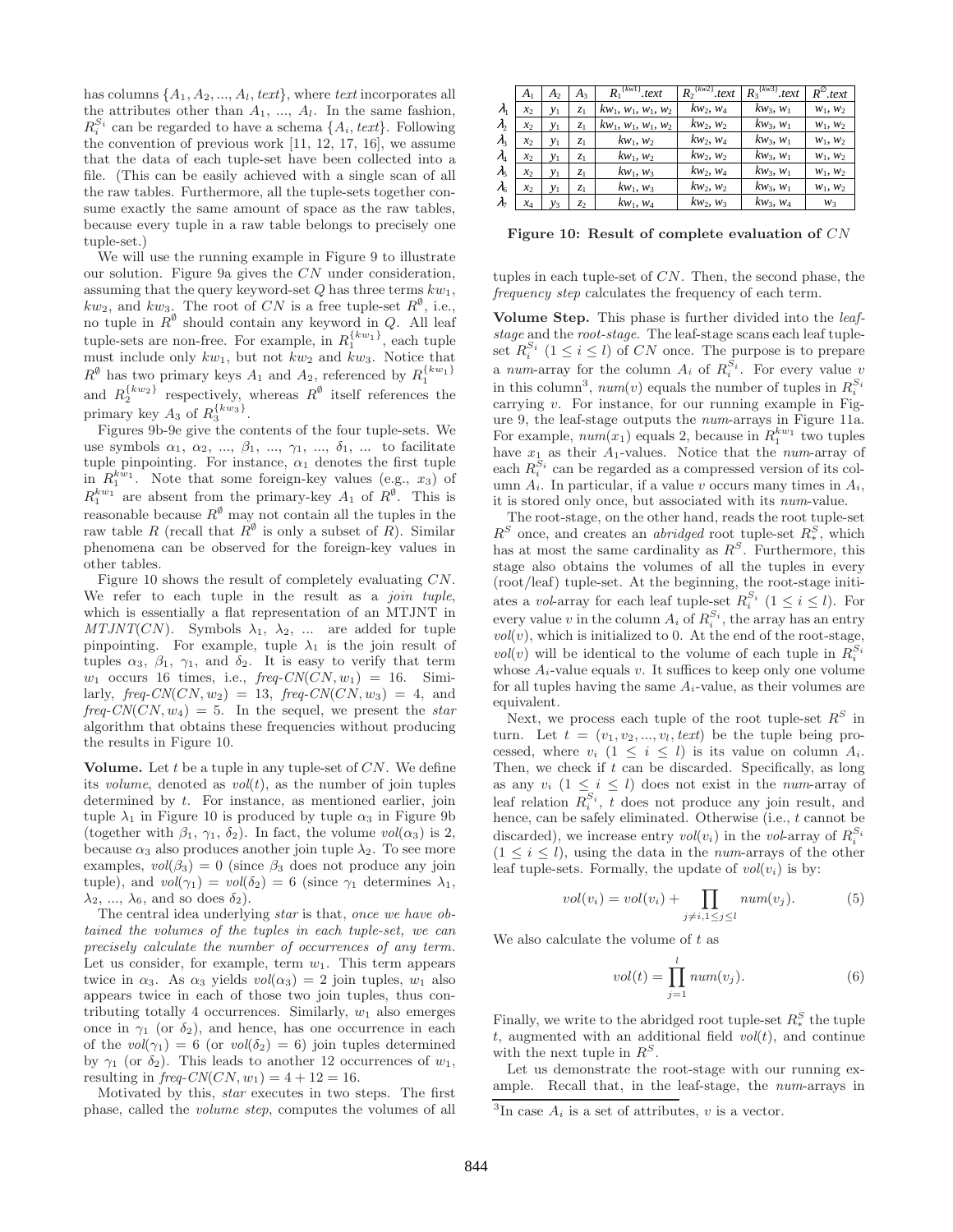has columns  $\{A_1, A_2, ..., A_l, text\}$ , where text incorporates all the attributes other than  $A_1, \ldots, A_l$ . In the same fashion,  $R_i^{S_i}$  can be regarded to have a schema  $\{A_i, text\}$ . Following the convention of previous work [11, 12, 17, 16], we assume that the data of each tuple-set have been collected into a file. (This can be easily achieved with a single scan of all the raw tables. Furthermore, all the tuple-sets together consume exactly the same amount of space as the raw tables, because every tuple in a raw table belongs to precisely one tuple-set.)

We will use the running example in Figure 9 to illustrate our solution. Figure 9a gives the CN under consideration, assuming that the query keyword-set  $Q$  has three terms  $kw_1$ ,  $kw_2$ , and  $kw_3$ . The root of CN is a free tuple-set  $R^{\emptyset}$ , i.e., no tuple in  $\mathbb{R}^{\emptyset}$  should contain any keyword in Q. All leaf tuple-sets are non-free. For example, in  $R_1^{\{kw_1\}}$ , each tuple must include only  $kw_1$ , but not  $kw_2$  and  $kw_3$ . Notice that  $R^{\emptyset}$  has two primary keys  $A_1$  and  $A_2$ , referenced by  $R_1^{\{kw_1\}}$ and  $R_2^{\{kw_2\}}$  respectively, whereas  $R^{\emptyset}$  itself references the primary key  $A_3$  of  $R_3^{\{kw_3\}}$ .

Figures 9b-9e give the contents of the four tuple-sets. We use symbols  $\alpha_1, \alpha_2, ..., \beta_1, ..., \gamma_1, ..., \delta_1, ...$  to facilitate tuple pinpointing. For instance,  $\alpha_1$  denotes the first tuple in  $R_1^{kw_1}$ . Note that some foreign-key values (e.g.,  $x_3$ ) of  $R_1^{kw_1}$  are absent from the primary-key  $A_1$  of  $R^{\emptyset}$ . This is reasonable because  $R^{\emptyset}$  may not contain all the tuples in the raw table R (recall that  $R^{\emptyset}$  is only a subset of R). Similar phenomena can be observed for the foreign-key values in other tables.

Figure 10 shows the result of completely evaluating CN. We refer to each tuple in the result as a *join tuple*, which is essentially a flat representation of an MTJNT in  $MTJNT(CN)$ . Symbols  $\lambda_1, \lambda_2, \ldots$  are added for tuple pinpointing. For example, tuple  $\lambda_1$  is the join result of tuples  $\alpha_3$ ,  $\beta_1$ ,  $\gamma_1$ , and  $\delta_2$ . It is easy to verify that term  $w_1$  occurs 16 times, i.e.,  $freq$ -CN(CN,  $w_1$ ) = 16. Similarly,  $freq\text{-}CN(CN, w_2) = 13$ ,  $freq\text{-}CN(CN, w_3) = 4$ , and  $freq-CN(CN, w_4) = 5$ . In the sequel, we present the star algorithm that obtains these frequencies without producing the results in Figure 10.

Volume. Let  $t$  be a tuple in any tuple-set of  $CN$ . We define its *volume*, denoted as  $vol(t)$ , as the number of join tuples determined by t. For instance, as mentioned earlier, join tuple  $\lambda_1$  in Figure 10 is produced by tuple  $\alpha_3$  in Figure 9b (together with  $\beta_1$ ,  $\gamma_1$ ,  $\delta_2$ ). In fact, the volume  $vol(\alpha_3)$  is 2, because  $\alpha_3$  also produces another join tuple  $\lambda_2$ . To see more examples,  $vol(\beta_3) = 0$  (since  $\beta_3$  does not produce any join tuple), and  $vol(\gamma_1) = vol(\delta_2) = 6$  (since  $\gamma_1$  determines  $\lambda_1$ ,  $\lambda_2, \ldots, \lambda_6$ , and so does  $\delta_2$ ).

The central idea underlying star is that, once we have obtained the volumes of the tuples in each tuple-set, we can precisely calculate the number of occurrences of any term. Let us consider, for example, term  $w_1$ . This term appears twice in  $\alpha_3$ . As  $\alpha_3$  yields  $vol(\alpha_3) = 2$  join tuples,  $w_1$  also appears twice in each of those two join tuples, thus contributing totally 4 occurrences. Similarly,  $w_1$  also emerges once in  $\gamma_1$  (or  $\delta_2$ ), and hence, has one occurrence in each of the  $vol(\gamma_1) = 6$  (or  $vol(\delta_2) = 6$ ) join tuples determined by  $\gamma_1$  (or  $\delta_2$ ). This leads to another 12 occurrences of  $w_1$ , resulting in  $freq$ -CN(CN,  $w_1$ ) = 4 + 12 = 16.

Motivated by this, star executes in two steps. The first phase, called the volume step, computes the volumes of all

|                  | A <sub>1</sub>    | A <sub>2</sub> | $A_3$          | $\sqrt{kw1}$ , text<br>$R_{1}$ | $R_2$ <sup>{kw2}</sup> .text | $\sqrt{kw^3}$ , text<br>$R_3$ <sup>t</sup> | $R^{\emptyset}$ .text |
|------------------|-------------------|----------------|----------------|--------------------------------|------------------------------|--------------------------------------------|-----------------------|
| $\lambda_{1}$    | x <sub>2</sub>    | $y_1$          | $z_1$          | $kw_1, w_1, w_1, w_2$          | $kw_2, w_4$                  | $kw_3, w_1$                                | $W_1, W_2$            |
| $\lambda$        | x <sub>2</sub>    | $y_1$          | z <sub>1</sub> | $kw_1, w_1, w_1, w_2$          | $kw_2, w_2$                  | $kw_3, w_1$                                | $W_1, W_2$            |
| $\lambda$        | x <sub>2</sub>    | $y_1$          | $z_1$          | $kw_1, w_2$                    | $kw_2, w_4$                  | $kw_3, w_1$                                | $W_1, W_2$            |
| $\lambda_{4}$    | $\mathcal{X}_{2}$ | $y_1$          | z <sub>1</sub> | $kw_1, w_2$                    | $kw_2, w_2$                  | $kw_3, w_1$                                | $W_1, W_2$            |
| $\lambda_{5}$    | x <sub>2</sub>    | $y_1$          | z <sub>1</sub> | $kw_1, w_3$                    | $kw_2, w_4$                  | $kw_3, w_1$                                | $W_1, W_2$            |
| $\lambda_{6}$    | x <sub>2</sub>    | $y_1$          | $z_1$          | $kw_1, w_3$                    | $kw_2, w_2$                  | $kw_3, w_1$                                | $W_1, W_2$            |
| $\lambda_{\tau}$ | $x_4$             | $y_3$          | z <sub>2</sub> | $kw_1, w_4$                    | $kw_2, w_3$                  | $kw_3, w_4$                                | $W_3$                 |

Figure 10: Result of complete evaluation of CN

tuples in each tuple-set of CN. Then, the second phase, the frequency step calculates the frequency of each term.

Volume Step. This phase is further divided into the leafstage and the root-stage. The leaf-stage scans each leaf tupleset  $R_i^{S_i}$   $(1 \leq i \leq l)$  of CN once. The purpose is to prepare a num-array for the column  $A_i$  of  $R_i^{S_i}$ . For every value v in this column<sup>3</sup>,  $num(v)$  equals the number of tuples in  $R_i^{S_i}$ carrying  $v$ . For instance, for our running example in Figure 9, the leaf-stage outputs the num-arrays in Figure 11a. For example,  $num(x_1)$  equals 2, because in  $R_1^{kw_1}$  two tuples have  $x_1$  as their  $A_1$ -values. Notice that the num-array of each  $R_i^{S_i}$  can be regarded as a compressed version of its column  $A_i$ . In particular, if a value v occurs many times in  $A_i$ , it is stored only once, but associated with its num-value.

The root-stage, on the other hand, reads the root tuple-set  $R<sup>S</sup>$  once, and creates an *abridged* root tuple-set  $R_*^S$ , which has at most the same cardinality as  $R^S$ . Furthermore, this stage also obtains the volumes of all the tuples in every (root/leaf) tuple-set. At the beginning, the root-stage initiates a vol-array for each leaf tuple-set  $R_i^{S_i}$   $(1 \leq i \leq l)$ . For every value  $v$  in the column  $A_i$  of  $R_i^{S_i}$ , the array has an entry  $vol(v)$ , which is initialized to 0. At the end of the root-stage,  $\mathit{vol}(v)$  will be identical to the volume of each tuple in  $R_i^{S_i}$ whose  $A_i$ -value equals v. It suffices to keep only one volume for all tuples having the same  $A_i$ -value, as their volumes are equivalent.

Next, we process each tuple of the root tuple-set  $R^S$  in turn. Let  $t = (v_1, v_2, ..., v_l, text)$  be the tuple being processed, where  $v_i$   $(1 \leq i \leq l)$  is its value on column  $A_i$ . Then, we check if  $t$  can be discarded. Specifically, as long as any  $v_i$   $(1 \leq i \leq l)$  does not exist in the *num*-array of leaf relation  $R_i^{S_i}$ , t does not produce any join result, and hence, can be safely eliminated. Otherwise (i.e., t cannot be discarded), we increase entry  $\mathit{vol}(v_i)$  in the vol-array of  $R_i^{S_i}$  $(1 \leq i \leq l)$ , using the data in the *num*-arrays of the other leaf tuple-sets. Formally, the update of  $vol(v_i)$  is by:

$$
vol(v_i) = vol(v_i) + \prod_{j \neq i, 1 \leq j \leq l} num(v_j).
$$
 (5)

We also calculate the volume of  $t$  as

$$
vol(t) = \prod_{j=1}^{l} num(v_j).
$$
 (6)

Finally, we write to the abridged root tuple-set  $R_*^S$  the tuple t, augmented with an additional field  $vol(t)$ , and continue with the next tuple in  $R^S$ .

Let us demonstrate the root-stage with our running example. Recall that, in the leaf-stage, the num-arrays in

<sup>&</sup>lt;sup>3</sup>In case  $A_i$  is a set of attributes, v is a vector.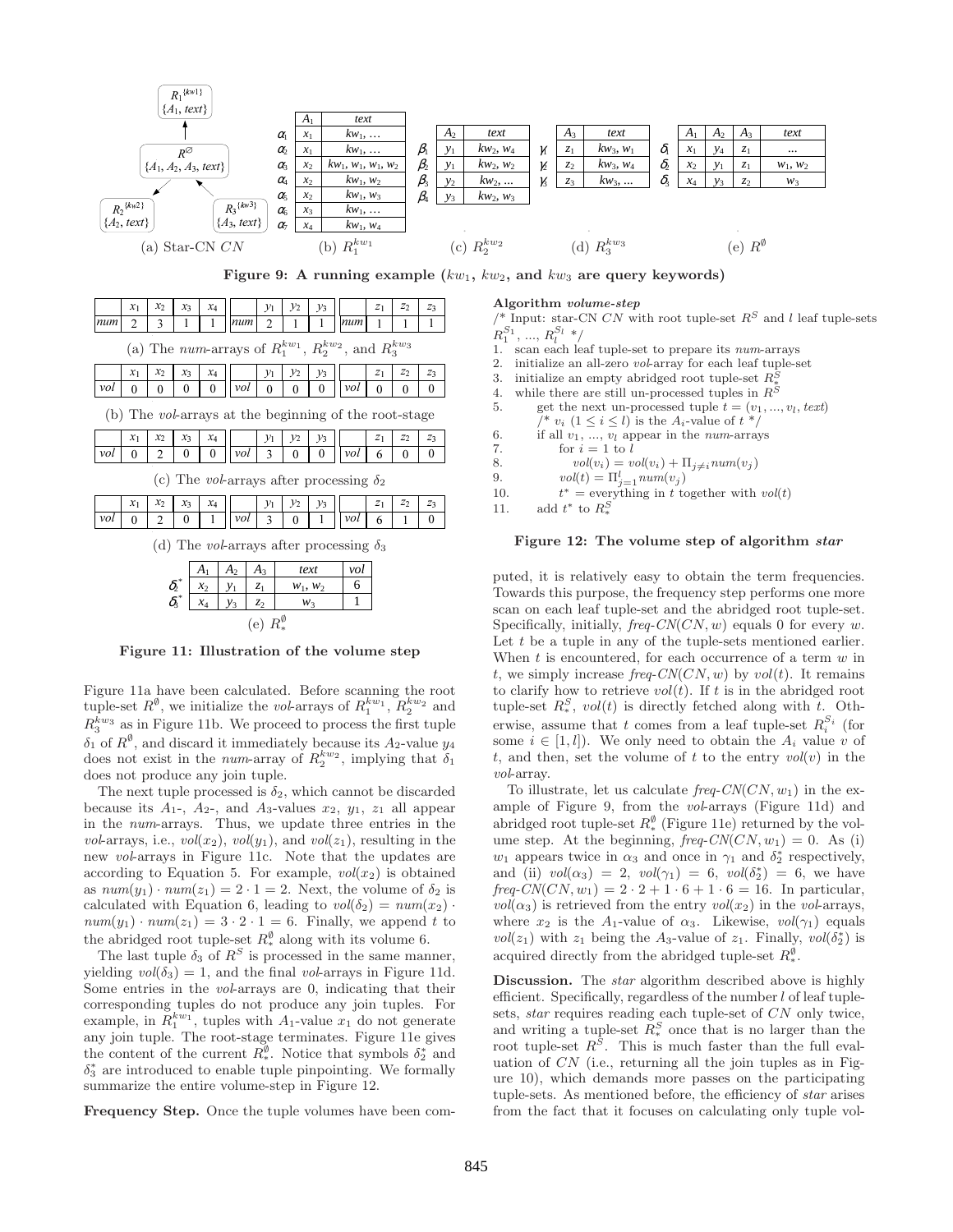

Towards this purpose, the frequency step performs one more scan on each leaf tuple-set and the abridged root tuple-set. Specifically, initially,  $freq$ -CN(CN, w) equals 0 for every w. Let  $t$  be a tuple in any of the tuple-sets mentioned earlier. When  $t$  is encountered, for each occurrence of a term  $w$  in t, we simply increase freq- $CN(CN, w)$  by  $vol(t)$ . It remains to clarify how to retrieve  $vol(t)$ . If t is in the abridged root tuple-set  $R_*^S$ ,  $vol(t)$  is directly fetched along with t. Otherwise, assume that t comes from a leaf tuple-set  $R_i^{S_i}$  (for some  $i \in [1, l]$ . We only need to obtain the  $A_i$  value v of t, and then, set the volume of t to the entry  $vol(v)$  in the vol-array.

To illustrate, let us calculate  $freq$ -CN(CN,  $w_1$ ) in the example of Figure 9, from the vol-arrays (Figure 11d) and abridged root tuple-set  $R_*^{\emptyset}$  (Figure 11e) returned by the volume step. At the beginning,  $freq$ -CN(CN,  $w_1$ ) = 0. As (i)  $w_1$  appears twice in  $\alpha_3$  and once in  $\gamma_1$  and  $\delta_2^*$  respectively, and (ii)  $vol(\alpha_3) = 2$ ,  $vol(\gamma_1) = 6$ ,  $vol(\delta_2^*) = 6$ , we have  $freq-CN(CN, w_1) = 2 \cdot 2 + 1 \cdot 6 + 1 \cdot 6 = 16$ . In particular,  $vol(\alpha_3)$  is retrieved from the entry  $vol(x_2)$  in the vol-arrays, where  $x_2$  is the A<sub>1</sub>-value of  $\alpha_3$ . Likewise,  $vol(\gamma_1)$  equals vol( $z_1$ ) with  $z_1$  being the A<sub>3</sub>-value of  $z_1$ . Finally, vol( $\delta_2^*$ ) is acquired directly from the abridged tuple-set  $R_*^{\emptyset}$ .

Discussion. The *star* algorithm described above is highly efficient. Specifically, regardless of the number  $l$  of leaf tuplesets, star requires reading each tuple-set of CN only twice, and writing a tuple-set  $\overline{R}_{*}^{S}$  once that is no larger than the root tuple-set  $R^S$ . This is much faster than the full evaluation of  $CN$  (i.e., returning all the join tuples as in Figure 10), which demands more passes on the participating tuple-sets. As mentioned before, the efficiency of star arises from the fact that it focuses on calculating only tuple vol-

The next tuple processed is  $\delta_2$ , which cannot be discarded because its  $A_1$ -,  $A_2$ -, and  $A_3$ -values  $x_2$ ,  $y_1$ ,  $z_1$  all appear in the num-arrays. Thus, we update three entries in the vol-arrays, i.e.,  $vol(x_2)$ ,  $vol(y_1)$ , and  $vol(z_1)$ , resulting in the new vol-arrays in Figure 11c. Note that the updates are according to Equation 5. For example,  $vol(x_2)$  is obtained as  $num(y_1) \cdot num(z_1) = 2 \cdot 1 = 2$ . Next, the volume of  $\delta_2$  is calculated with Equation 6, leading to  $vol(\delta_2) = num(x_2)$ .  $num(y_1) \cdot num(z_1) = 3 \cdot 2 \cdot 1 = 6$ . Finally, we append t to the abridged root tuple-set  $R_*^{\emptyset}$  along with its volume 6.

*x*<sup>4</sup> *y*<sup>3</sup> *z*<sup>2</sup> *w*<sup>3</sup> 1 (e)  $R_*^{\emptyset}$ Figure 11: Illustration of the volume step

Figure 11a have been calculated. Before scanning the root tuple-set  $R^{\emptyset}$ , we initialize the *vol*-arrays of  $R_1^{kw_1}$ ,  $R_2^{kw_2}$  and  $R_3^{kw_3}$  as in Figure 11b. We proceed to process the first tuple  $\delta_1$  of  $R^{\emptyset}$ , and discard it immediately because its  $A_2$ -value  $y_4$ does not exist in the *num*-array of  $R_2^{kw_2}$ , implying that  $\delta_1$ 

 $\delta$ 3

does not produce any join tuple.

The last tuple  $\delta_3$  of  $\mathbb{R}^S$  is processed in the same manner, yielding  $vol(\delta_3) = 1$ , and the final vol-arrays in Figure 11d. Some entries in the vol-arrays are 0, indicating that their corresponding tuples do not produce any join tuples. For example, in  $\overline{R_1^{kw_1}}$ , tuples with  $A_1$ -value  $x_1$  do not generate any join tuple. The root-stage terminates. Figure 11e gives the content of the current  $R_*^{\emptyset}$ . Notice that symbols  $\delta_2^*$  and  $\delta_3^*$  are introduced to enable tuple pinpointing. We formally summarize the entire volume-step in Figure 12.

Frequency Step. Once the tuple volumes have been com-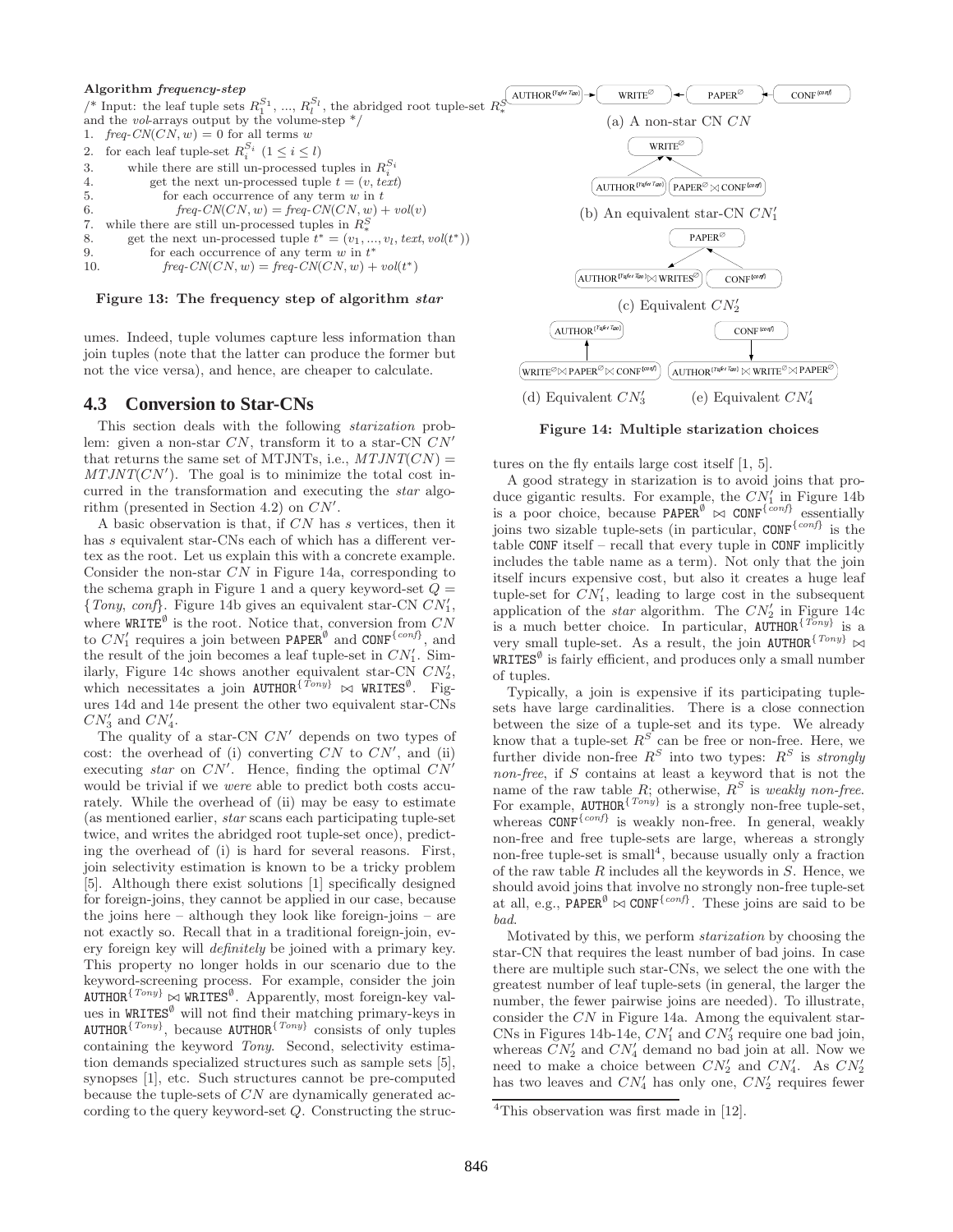### Algorithm frequency-step

```
/* Input: the leaf tuple sets R_1^{S_1}, ..., R_l^{S_l}, the abridged root tuple-set R_*^{\mathcal{S}} and the vol-arrays output by the volume-step */
1. freq\text{-}CN(CN, w) = 0 for all terms w
2. for each leaf tuple-set R_i^{S_i} (1 \le i \le l)3. while there are still un-processed tuples in R_i^{S_i}4. get the next un-processed tuple \overline{t} = (v, text)<br>5. for each occurrence of any term w in t5. for each occurrence of any term w in t<br>6. freq\text{-}CN(CN,w) = freq\text{-}CN(CN,w) +freq-CN(CN, w) = freq-CN(CN, w) + vol(v)7. while there are still un-processed tuples in R_*^S8. get the next un-processed tuple t^* = (v_1, ..., v_l, text, vol(t^*))9. for each occurrence of any term w \text{ in } t^*10. freq\text{-}CN(CN, w) = freq\text{-}CN(CN, w) + vol(t^*)
```
### Figure 13: The frequency step of algorithm star

umes. Indeed, tuple volumes capture less information than join tuples (note that the latter can produce the former but not the vice versa), and hence, are cheaper to calculate.

### **4.3 Conversion to Star-CNs**

This section deals with the following starization problem: given a non-star  $CN$ , transform it to a star-CN  $CN'$ that returns the same set of MTJNTs, i.e.,  $MTJNT(CN) =$  $MTJNT(CN')$ . The goal is to minimize the total cost incurred in the transformation and executing the star algorithm (presented in Section 4.2) on  $CN'$ .

A basic observation is that, if CN has s vertices, then it has s equivalent star-CNs each of which has a different vertex as the root. Let us explain this with a concrete example. Consider the non-star CN in Figure 14a, corresponding to the schema graph in Figure 1 and a query keyword-set  $Q =$ {Tony, conf}. Figure 14b gives an equivalent star-CN  $CN'_1$ , where  $\texttt{WRITE}^{\emptyset}$  is the root. Notice that, conversion from  $CN$ to  $CN'_1$  requires a join between PAPER<sup> $\emptyset$ </sup> and CONF<sup>{conf}</sup>, and the result of the join becomes a leaf tuple-set in  $CN'_1$ . Similarly, Figure 14c shows another equivalent star-CN  $CN'_2$ , which necessitates a join  $\text{AUTHOR}^{\{\hat{T}ony}\}$   $\bowtie$   $\text{WRTES}^{\emptyset}$ . Figures 14d and 14e present the other two equivalent star-CNs  $CN'_3$  and  $CN'_4$ .

The quality of a star-CN  $CN'$  depends on two types of cost: the overhead of (i) converting  $CN$  to  $CN'$ , and (ii) executing star on  $CN'$ . Hence, finding the optimal  $CN'$ would be trivial if we were able to predict both costs accurately. While the overhead of (ii) may be easy to estimate (as mentioned earlier, star scans each participating tuple-set twice, and writes the abridged root tuple-set once), predicting the overhead of (i) is hard for several reasons. First, join selectivity estimation is known to be a tricky problem [5]. Although there exist solutions [1] specifically designed for foreign-joins, they cannot be applied in our case, because the joins here – although they look like foreign-joins – are not exactly so. Recall that in a traditional foreign-join, every foreign key will definitely be joined with a primary key. This property no longer holds in our scenario due to the keyword-screening process. For example, consider the join  $\text{AUTHOR}^{\{Tony\}} \bowtie \text{WRITES}^{\emptyset}$ . Apparently, most foreign-key values in  $WRITES^{\emptyset}$  will not find their matching primary-keys in AUTHOR<sup>{Tony}</sup>, because AUTHOR<sup>{Tony}</sup> consists of only tuples containing the keyword Tony. Second, selectivity estimation demands specialized structures such as sample sets [5], synopses [1], etc. Such structures cannot be pre-computed because the tuple-sets of CN are dynamically generated according to the query keyword-set Q. Constructing the struc-



Figure 14: Multiple starization choices

tures on the fly entails large cost itself [1, 5].

A good strategy in starization is to avoid joins that produce gigantic results. For example, the  $CN_1'$  in Figure 14b is a poor choice, because  $\text{PAPER}^{\emptyset} \propto \text{CONF}^{\{conf\}}$  essentially joins two sizable tuple-sets (in particular, CONF<sup>{conf}</sup> is the table CONF itself – recall that every tuple in CONF implicitly includes the table name as a term). Not only that the join itself incurs expensive cost, but also it creates a huge leaf tuple-set for  $CN_1'$ , leading to large cost in the subsequent application of the *star* algorithm. The  $CN'_2$  in Figure 14c is a much better choice. In particular,  $\text{AUTHOR}^{\{T\text{On}y\}}$  is a very small tuple-set. As a result, the join AUTHOR<sup>{Tony}</sup>  $\texttt{WRITES}^\emptyset$  is fairly efficient, and produces only a small number of tuples.

Typically, a join is expensive if its participating tuplesets have large cardinalities. There is a close connection between the size of a tuple-set and its type. We already know that a tuple-set  $R^S$  can be free or non-free. Here, we further divide non-free  $R^S$  into two types:  $R^S$  is strongly non-free, if S contains at least a keyword that is not the name of the raw table R; otherwise,  $R^S$  is weakly non-free. For example,  $\texttt{AUTHOR}^{\{Tony\}}$  is a strongly non-free tuple-set, whereas CONF<sup>{conf}</sup> is weakly non-free. In general, weakly non-free and free tuple-sets are large, whereas a strongly non-free tuple-set is small<sup>4</sup>, because usually only a fraction of the raw table  $R$  includes all the keywords in  $S$ . Hence, we should avoid joins that involve no strongly non-free tuple-set at all, e.g., PAPER<sup> $\emptyset$ </sup>  $\bowtie$  CONF<sup>{conf}</sup>. These joins are said to be bad.

Motivated by this, we perform starization by choosing the star-CN that requires the least number of bad joins. In case there are multiple such star-CNs, we select the one with the greatest number of leaf tuple-sets (in general, the larger the number, the fewer pairwise joins are needed). To illustrate, consider the CN in Figure 14a. Among the equivalent star-CNs in Figures 14b-14e,  $CN'_1$  and  $CN'_3$  require one bad join, whereas  $\ddot{CN}_2'$  and  $CN_4'$  demand no bad join at all. Now we need to make a choice between  $CN'_2$  and  $CN'_4$ . As  $CN'_2$ has two leaves and  $CN'_4$  has only one,  $CN'_2$  requires fewer

<sup>&</sup>lt;sup>4</sup>This observation was first made in [12].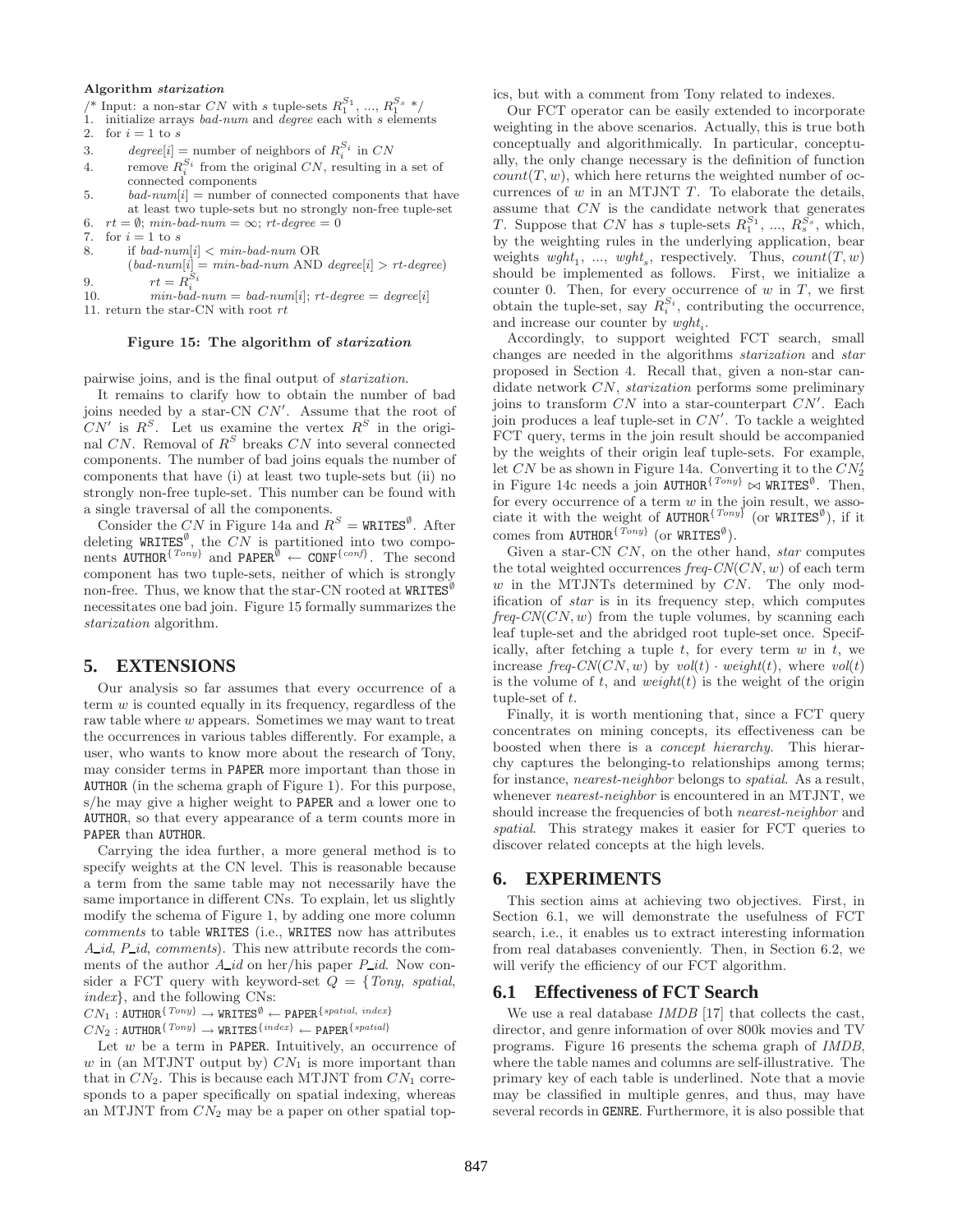#### Algorithm starization

- /\* Input: a non-star $CN$  with  $s$  tuple-sets  $R^{S_1}_1,\,...,\,R^{S_s}_1$  \*/
- 1. initialize arrays bad-num and degree each with  $s$  elements
- 2. for  $i = 1$  to s
- 3. degree[i] = number of neighbors of  $R_i^{S_i}$  in CN
- 4. remove  $R_i^{S_i}$  from the original CN, resulting in a set of connected components
- 5.  $bad\text{-}num[i] =$  number of connected components that have at least two tuple-sets but no strongly non-free tuple-set
- 6.  $rt = \emptyset$ ; min-bad-num =  $\infty$ ; rt-degree = 0<br>7. for  $i = 1$  to s for  $i=1$  to  $s$
- 8. if  $bad\text{-}num[i] < min\text{-}bad\text{-}num \text{ OR }$
- $(bad\text{-}num[i] = min\text{-}bad\text{-}num \text{ AND } degree[i] > rt\text{-}degree)$ 9.  $rt = R_i^{S_i}$
- 10.  $min \text{-} b \overset{\cdot}{a} d \text{-} num = b a d \text{-} num[i]; \text{ rt-} degree = degree[i]$
- 11. return the star-CN with root  $rt$

### Figure 15: The algorithm of starization

pairwise joins, and is the final output of starization.

It remains to clarify how to obtain the number of bad joins needed by a star-CN  $CN'$ . Assume that the root of  $CN'$  is  $R^S$ . Let us examine the vertex  $R^S$  in the original  $CN$ . Removal of  $R^S$  breaks  $CN$  into several connected components. The number of bad joins equals the number of components that have (i) at least two tuple-sets but (ii) no strongly non-free tuple-set. This number can be found with a single traversal of all the components.

Consider the CN in Figure 14a and  $R^S =$  WRITES<sup>0</sup>. After deleting WRITES<sup>Ø</sup>, the CN is partitioned into two components AUTHOR<sup>{Tony}</sup> and PAPER<sup>Ø</sup> ← CONF<sup>{conf}</sup>. The second component has two tuple-sets, neither of which is strongly non-free. Thus, we know that the star-CN rooted at  $WRITES<sup>U</sup>$ necessitates one bad join. Figure 15 formally summarizes the starization algorithm.

### **5. EXTENSIONS**

Our analysis so far assumes that every occurrence of a term w is counted equally in its frequency, regardless of the raw table where w appears. Sometimes we may want to treat the occurrences in various tables differently. For example, a user, who wants to know more about the research of Tony, may consider terms in PAPER more important than those in AUTHOR (in the schema graph of Figure 1). For this purpose, s/he may give a higher weight to PAPER and a lower one to AUTHOR, so that every appearance of a term counts more in PAPER than AUTHOR.

Carrying the idea further, a more general method is to specify weights at the CN level. This is reasonable because a term from the same table may not necessarily have the same importance in different CNs. To explain, let us slightly modify the schema of Figure 1, by adding one more column comments to table WRITES (i.e., WRITES now has attributes  $A_id$ ,  $P_id$ , comments). This new attribute records the comments of the author  $A_{id}$  on her/his paper  $P_{id}$ . Now consider a FCT query with keyword-set  $Q = \{Tony, spatial,$ index}, and the following CNs:

 $CN_1: \texttt{AUTHOR}^{ \{ \textit{Tony} \}} \longrightarrow \texttt{WRITES}^\emptyset \longleftarrow \texttt{PAPER}^{ \{ \textit{spatial, index} \}}$ 

 $CN_2:$  AUTHOR ${^{Tony}}\rightarrow$  WRITES ${^{index}}\leftarrow$  PAPER ${^{spatial}}$ 

Let  $w$  be a term in PAPER. Intuitively, an occurrence of w in (an MTJNT output by)  $CN_1$  is more important than that in  $CN_2$ . This is because each MTJNT from  $CN_1$  corresponds to a paper specifically on spatial indexing, whereas an MTJNT from  $CN_2$  may be a paper on other spatial topics, but with a comment from Tony related to indexes.

Our FCT operator can be easily extended to incorporate weighting in the above scenarios. Actually, this is true both conceptually and algorithmically. In particular, conceptually, the only change necessary is the definition of function  $count(T, w)$ , which here returns the weighted number of occurrences of  $w$  in an MTJNT  $T$ . To elaborate the details, assume that CN is the candidate network that generates T. Suppose that CN has s tuple-sets  $R_1^{S_1}, ..., R_s^{S_s}$ , which, by the weighting rules in the underlying application, bear weights  $wght_1, ..., wght_s$ , respectively. Thus,  $count(T, w)$ should be implemented as follows. First, we initialize a counter 0. Then, for every occurrence of  $w$  in  $T$ , we first obtain the tuple-set, say  $R_i^{S_i}$ , contributing the occurrence, and increase our counter by  $wght_i$ .

Accordingly, to support weighted FCT search, small changes are needed in the algorithms starization and star proposed in Section 4. Recall that, given a non-star candidate network CN, starization performs some preliminary joins to transform  $\overline{CN}$  into a star-counterpart  $\overline{CN'}$ . Each join produces a leaf tuple-set in  $CN'$ . To tackle a weighted FCT query, terms in the join result should be accompanied by the weights of their origin leaf tuple-sets. For example, let CN be as shown in Figure 14a. Converting it to the  $CN_2$ in Figure 14c needs a join  $\text{AUTHOR}^{\{Tony\}}$   $\bowtie$  WRITES<sup>Ø</sup>. Then, for every occurrence of a term  $w$  in the join result, we associate it with the weight of AUTHOR<sup>{Tony}</sup> (or WRITES<sup>0</sup>), if it comes from  $\texttt{AUTHOR}^{\{Tony\}}$  (or  $\texttt{WRTES}^\emptyset$ ).

Given a star-CN CN, on the other hand, star computes the total weighted occurrences  $freq$ -CN(CN, w) of each term  $w$  in the MTJNTs determined by  $CN$ . The only modification of star is in its frequency step, which computes  $freq\text{-}CN(CN, w)$  from the tuple volumes, by scanning each leaf tuple-set and the abridged root tuple-set once. Specifically, after fetching a tuple  $t$ , for every term  $w$  in  $t$ , we increase freq-CN(CN, w) by  $vol(t) \cdot weight(t)$ , where  $vol(t)$ is the volume of t, and weight $(t)$  is the weight of the origin tuple-set of t.

Finally, it is worth mentioning that, since a FCT query concentrates on mining concepts, its effectiveness can be boosted when there is a concept hierarchy. This hierarchy captures the belonging-to relationships among terms; for instance, nearest-neighbor belongs to spatial. As a result, whenever *nearest-neighbor* is encountered in an MTJNT, we should increase the frequencies of both nearest-neighbor and spatial. This strategy makes it easier for FCT queries to discover related concepts at the high levels.

### **6. EXPERIMENTS**

This section aims at achieving two objectives. First, in Section 6.1, we will demonstrate the usefulness of FCT search, i.e., it enables us to extract interesting information from real databases conveniently. Then, in Section 6.2, we will verify the efficiency of our FCT algorithm.

# **6.1 Effectiveness of FCT Search**

We use a real database *IMDB* [17] that collects the cast, director, and genre information of over 800k movies and TV programs. Figure 16 presents the schema graph of IMDB, where the table names and columns are self-illustrative. The primary key of each table is underlined. Note that a movie may be classified in multiple genres, and thus, may have several records in GENRE. Furthermore, it is also possible that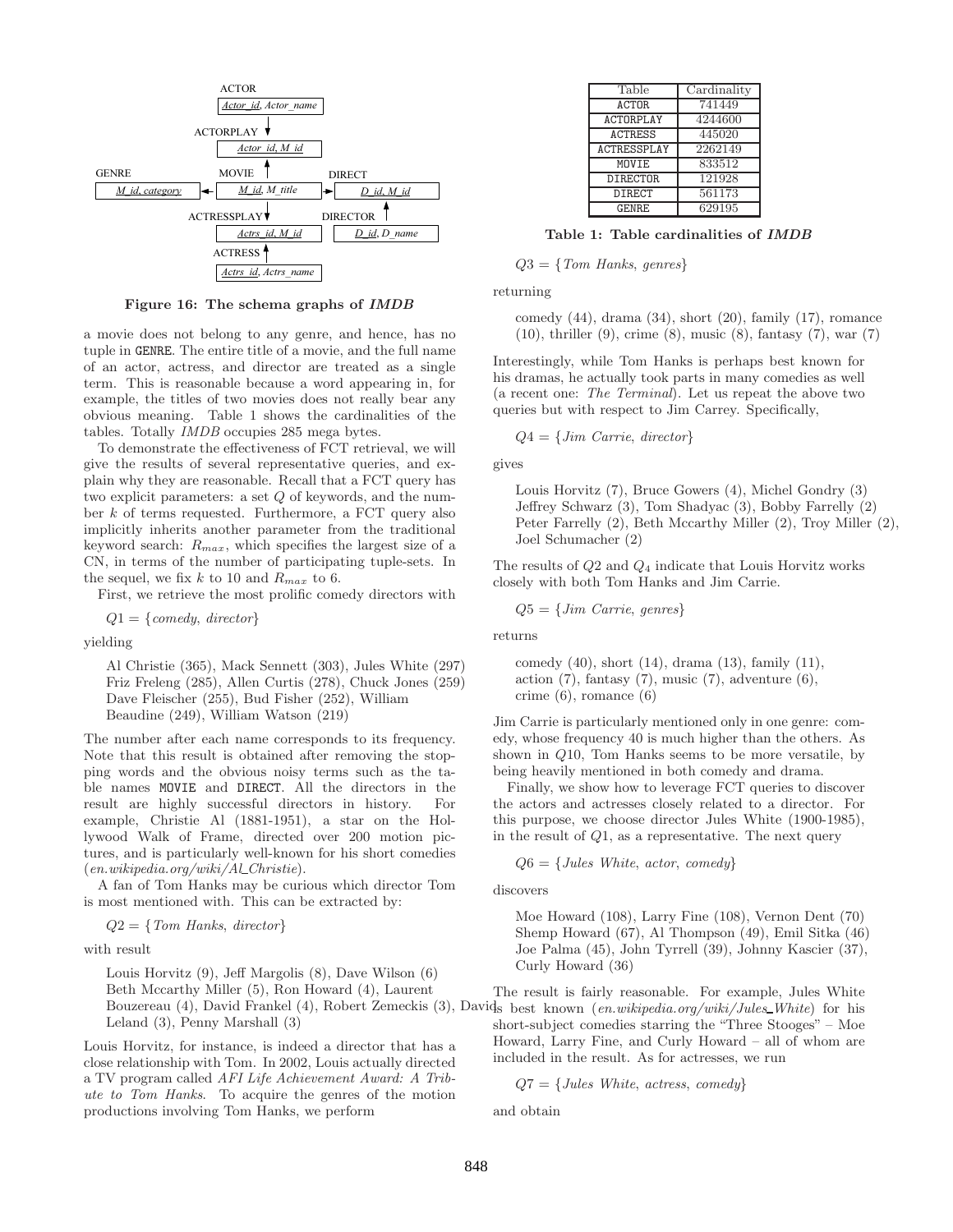

Figure 16: The schema graphs of IMDB

a movie does not belong to any genre, and hence, has no tuple in GENRE. The entire title of a movie, and the full name of an actor, actress, and director are treated as a single term. This is reasonable because a word appearing in, for example, the titles of two movies does not really bear any obvious meaning. Table 1 shows the cardinalities of the tables. Totally IMDB occupies 285 mega bytes.

To demonstrate the effectiveness of FCT retrieval, we will give the results of several representative queries, and explain why they are reasonable. Recall that a FCT query has two explicit parameters: a set Q of keywords, and the number k of terms requested. Furthermore, a FCT query also implicitly inherits another parameter from the traditional keyword search:  $R_{max}$ , which specifies the largest size of a CN, in terms of the number of participating tuple-sets. In the sequel, we fix k to 10 and  $R_{max}$  to 6.

First, we retrieve the most prolific comedy directors with

 $Q1 = \{comedy, \, director\}$ 

yielding

Al Christie (365), Mack Sennett (303), Jules White (297) Friz Freleng (285), Allen Curtis (278), Chuck Jones (259) Dave Fleischer (255), Bud Fisher (252), William Beaudine (249), William Watson (219)

The number after each name corresponds to its frequency. Note that this result is obtained after removing the stopping words and the obvious noisy terms such as the table names MOVIE and DIRECT. All the directors in the result are highly successful directors in history. For example, Christie Al (1881-1951), a star on the Hollywood Walk of Frame, directed over 200 motion pictures, and is particularly well-known for his short comedies  $(en.wikipedia.org/wiki/ALChristie).$ 

A fan of Tom Hanks may be curious which director Tom is most mentioned with. This can be extracted by:

$$
Q2 = \{Tom\ Hanks, \ director\}
$$

with result

Louis Horvitz (9), Jeff Margolis (8), Dave Wilson (6) Beth Mccarthy Miller (5), Ron Howard (4), Laurent Leland (3), Penny Marshall (3)

Louis Horvitz, for instance, is indeed a director that has a close relationship with Tom. In 2002, Louis actually directed a TV program called AFI Life Achievement Award: A Tribute to Tom Hanks. To acquire the genres of the motion productions involving Tom Hanks, we perform

| Table              | Cardinality |
|--------------------|-------------|
| <b>ACTOR</b>       | 741449      |
| <b>ACTORPLAY</b>   | 4244600     |
| <b>ACTRESS</b>     | 445020      |
| <b>ACTRESSPLAY</b> | 2262149     |
| MOVIE              | 833512      |
| <b>DIRECTOR</b>    | 121928      |
| DIRECT             | 561173      |
| GENRE              | 629195      |

Table 1: Table cardinalities of IMDB

 $Q3 = \{Tom$  Hanks, genres

returning

comedy (44), drama (34), short (20), family (17), romance (10), thriller (9), crime (8), music (8), fantasy (7), war (7)

Interestingly, while Tom Hanks is perhaps best known for his dramas, he actually took parts in many comedies as well (a recent one: The Terminal). Let us repeat the above two queries but with respect to Jim Carrey. Specifically,

$$
Q4 = \{ Jim \text{ Carrie}, \text{ director} \}
$$

gives

Louis Horvitz (7), Bruce Gowers (4), Michel Gondry (3) Jeffrey Schwarz (3), Tom Shadyac (3), Bobby Farrelly (2) Peter Farrelly (2), Beth Mccarthy Miller (2), Troy Miller (2), Joel Schumacher (2)

The results of  $Q2$  and  $Q_4$  indicate that Louis Horvitz works closely with both Tom Hanks and Jim Carrie.

 $Q5 = \{Jim \text{ Carrie}, \text{ genres}\}\$ 

returns

comedy (40), short (14), drama (13), family (11), action  $(7)$ , fantasy  $(7)$ , music  $(7)$ , adventure  $(6)$ , crime (6), romance (6)

Jim Carrie is particularly mentioned only in one genre: comedy, whose frequency 40 is much higher than the others. As shown in Q10, Tom Hanks seems to be more versatile, by being heavily mentioned in both comedy and drama.

Finally, we show how to leverage FCT queries to discover the actors and actresses closely related to a director. For this purpose, we choose director Jules White (1900-1985), in the result of  $Q1$ , as a representative. The next query

 $Q6 = \{Jules White, actor, comedy\}$ 

discovers

Moe Howard (108), Larry Fine (108), Vernon Dent (70) Shemp Howard (67), Al Thompson (49), Emil Sitka (46) Joe Palma (45), John Tyrrell (39), Johnny Kascier (37), Curly Howard (36)

Bouzereau (4), David Frankel (4), Robert Zemeckis (3), Davids best known (en.wikipedia.org/wiki/Jules\_White) for his The result is fairly reasonable. For example, Jules White short-subject comedies starring the "Three Stooges" – Moe Howard, Larry Fine, and Curly Howard – all of whom are included in the result. As for actresses, we run

 $Q7 = \{Jules White, actress, comedy\}$ 

and obtain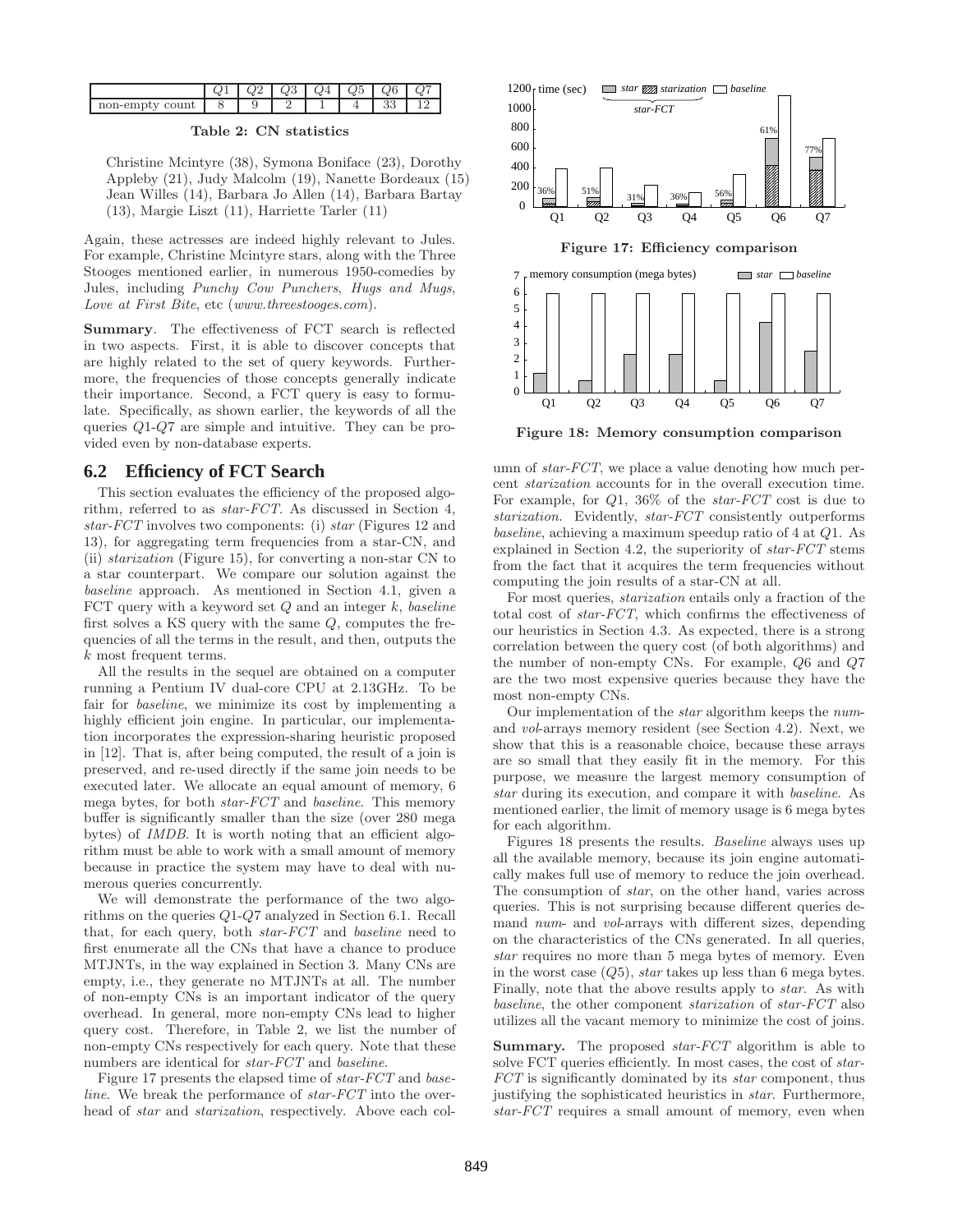|                                          | w | ພ⊍ | $Q^{\prime\prime}$ | $\sim$ $\sim$<br>w. | 26<br>w. | ω |
|------------------------------------------|---|----|--------------------|---------------------|----------|---|
| `ount<br>$110n$ -empr<br>$\tilde{}$<br>w |   |    |                    |                     | .<br>ບບ  |   |

### Table 2: CN statistics

Christine Mcintyre (38), Symona Boniface (23), Dorothy Appleby (21), Judy Malcolm (19), Nanette Bordeaux (15) Jean Willes (14), Barbara Jo Allen (14), Barbara Bartay (13), Margie Liszt (11), Harriette Tarler (11)

Again, these actresses are indeed highly relevant to Jules. For example, Christine Mcintyre stars, along with the Three Stooges mentioned earlier, in numerous 1950-comedies by Jules, including Punchy Cow Punchers, Hugs and Mugs, Love at First Bite, etc (www.threestooges.com).

Summary. The effectiveness of FCT search is reflected in two aspects. First, it is able to discover concepts that are highly related to the set of query keywords. Furthermore, the frequencies of those concepts generally indicate their importance. Second, a FCT query is easy to formulate. Specifically, as shown earlier, the keywords of all the queries Q1-Q7 are simple and intuitive. They can be provided even by non-database experts.

### **6.2 Efficiency of FCT Search**

This section evaluates the efficiency of the proposed algorithm, referred to as star-FCT. As discussed in Section 4, star-FCT involves two components: (i) star (Figures 12 and 13), for aggregating term frequencies from a star-CN, and (ii) starization (Figure 15), for converting a non-star CN to a star counterpart. We compare our solution against the baseline approach. As mentioned in Section 4.1, given a FCT query with a keyword set  $Q$  and an integer  $k$ , baseline first solves a KS query with the same Q, computes the frequencies of all the terms in the result, and then, outputs the k most frequent terms.

All the results in the sequel are obtained on a computer running a Pentium IV dual-core CPU at 2.13GHz. To be fair for *baseline*, we minimize its cost by implementing a highly efficient join engine. In particular, our implementation incorporates the expression-sharing heuristic proposed in [12]. That is, after being computed, the result of a join is preserved, and re-used directly if the same join needs to be executed later. We allocate an equal amount of memory, 6 mega bytes, for both star-FCT and baseline. This memory buffer is significantly smaller than the size (over 280 mega bytes) of IMDB. It is worth noting that an efficient algorithm must be able to work with a small amount of memory because in practice the system may have to deal with numerous queries concurrently.

We will demonstrate the performance of the two algorithms on the queries Q1-Q7 analyzed in Section 6.1. Recall that, for each query, both star-FCT and baseline need to first enumerate all the CNs that have a chance to produce MTJNTs, in the way explained in Section 3. Many CNs are empty, i.e., they generate no MTJNTs at all. The number of non-empty CNs is an important indicator of the query overhead. In general, more non-empty CNs lead to higher query cost. Therefore, in Table 2, we list the number of non-empty CNs respectively for each query. Note that these numbers are identical for *star-FCT* and *baseline*.

Figure 17 presents the elapsed time of *star-FCT* and *base*line. We break the performance of *star-FCT* into the overhead of *star* and *starization*, respectively. Above each col-



Figure 18: Memory consumption comparison

umn of *star-FCT*, we place a value denoting how much percent starization accounts for in the overall execution time. For example, for Q1, 36% of the star-FCT cost is due to starization. Evidently, star-FCT consistently outperforms baseline, achieving a maximum speedup ratio of 4 at Q1. As explained in Section 4.2, the superiority of star-FCT stems from the fact that it acquires the term frequencies without computing the join results of a star-CN at all.

For most queries, starization entails only a fraction of the total cost of star-FCT, which confirms the effectiveness of our heuristics in Section 4.3. As expected, there is a strong correlation between the query cost (of both algorithms) and the number of non-empty CNs. For example, Q6 and Q7 are the two most expensive queries because they have the most non-empty CNs.

Our implementation of the star algorithm keeps the numand vol-arrays memory resident (see Section 4.2). Next, we show that this is a reasonable choice, because these arrays are so small that they easily fit in the memory. For this purpose, we measure the largest memory consumption of star during its execution, and compare it with baseline. As mentioned earlier, the limit of memory usage is 6 mega bytes for each algorithm.

Figures 18 presents the results. Baseline always uses up all the available memory, because its join engine automatically makes full use of memory to reduce the join overhead. The consumption of star, on the other hand, varies across queries. This is not surprising because different queries demand num- and vol-arrays with different sizes, depending on the characteristics of the CNs generated. In all queries, star requires no more than 5 mega bytes of memory. Even in the worst case  $(Q5)$ , star takes up less than 6 mega bytes. Finally, note that the above results apply to star. As with baseline, the other component starization of star-FCT also utilizes all the vacant memory to minimize the cost of joins.

**Summary.** The proposed *star-FCT* algorithm is able to solve FCT queries efficiently. In most cases, the cost of star-FCT is significantly dominated by its star component, thus justifying the sophisticated heuristics in star. Furthermore, star-FCT requires a small amount of memory, even when